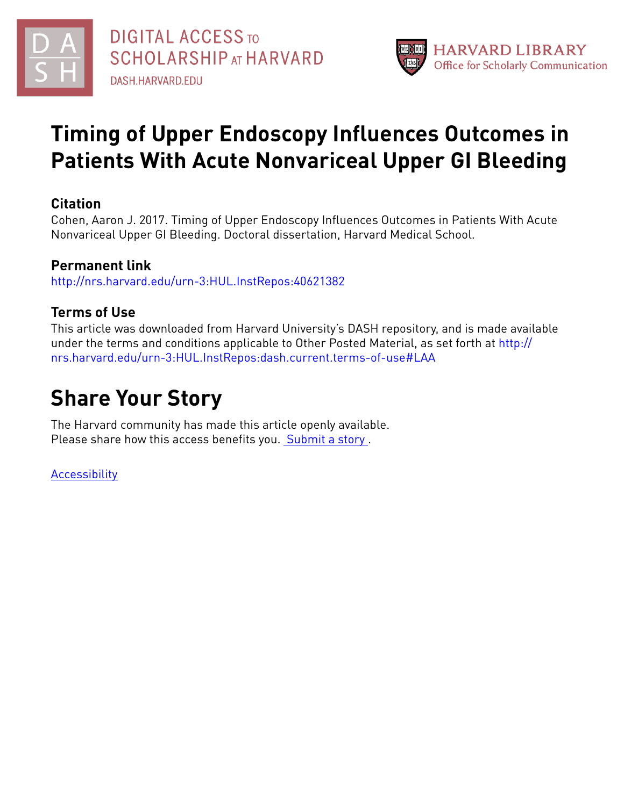



# **Timing of Upper Endoscopy Influences Outcomes in Patients With Acute Nonvariceal Upper GI Bleeding**

# **Citation**

Cohen, Aaron J. 2017. Timing of Upper Endoscopy Influences Outcomes in Patients With Acute Nonvariceal Upper GI Bleeding. Doctoral dissertation, Harvard Medical School.

# **Permanent link**

<http://nrs.harvard.edu/urn-3:HUL.InstRepos:40621382>

# **Terms of Use**

This article was downloaded from Harvard University's DASH repository, and is made available under the terms and conditions applicable to Other Posted Material, as set forth at [http://](http://nrs.harvard.edu/urn-3:HUL.InstRepos:dash.current.terms-of-use#LAA) [nrs.harvard.edu/urn-3:HUL.InstRepos:dash.current.terms-of-use#LAA](http://nrs.harvard.edu/urn-3:HUL.InstRepos:dash.current.terms-of-use#LAA)

# **Share Your Story**

The Harvard community has made this article openly available. Please share how this access benefits you. [Submit](http://osc.hul.harvard.edu/dash/open-access-feedback?handle=&title=Timing%20of%20Upper%20Endoscopy%20Influences%20Outcomes%20in%20Patients%20With%20Acute%20Nonvariceal%20Upper%20GI%20Bleeding&community=1/4454685&collection=1/11407446&owningCollection1/11407446&harvardAuthors=3875cca8a443f1c55f56502e54b361ef&departmentScholarly%20Project) a story .

[Accessibility](https://dash.harvard.edu/pages/accessibility)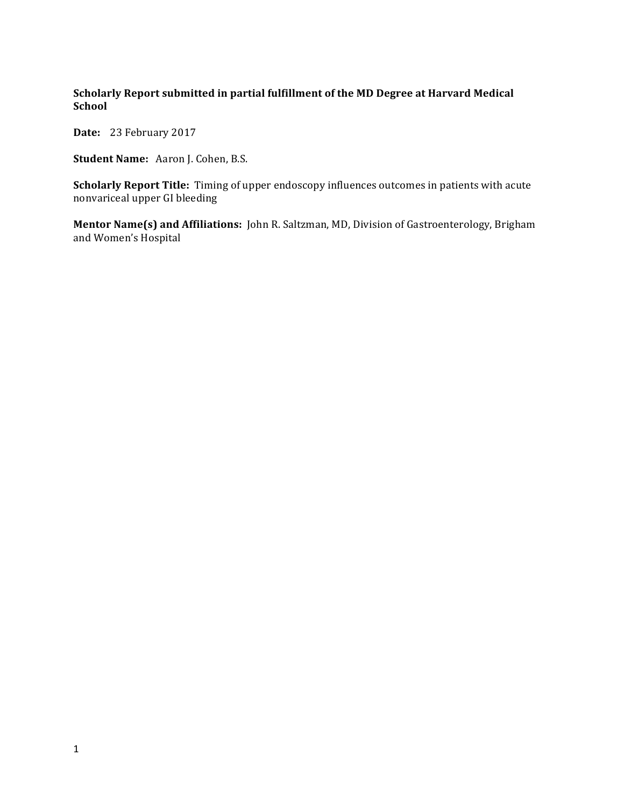# Scholarly Report submitted in partial fulfillment of the MD Degree at Harvard Medical **School**

Date: 23 February 2017

**Student Name:** Aaron J. Cohen, B.S.

**Scholarly Report Title:** Timing of upper endoscopy influences outcomes in patients with acute nonvariceal upper GI bleeding

**Mentor Name(s) and Affiliations:** John R. Saltzman, MD, Division of Gastroenterology, Brigham and Women's Hospital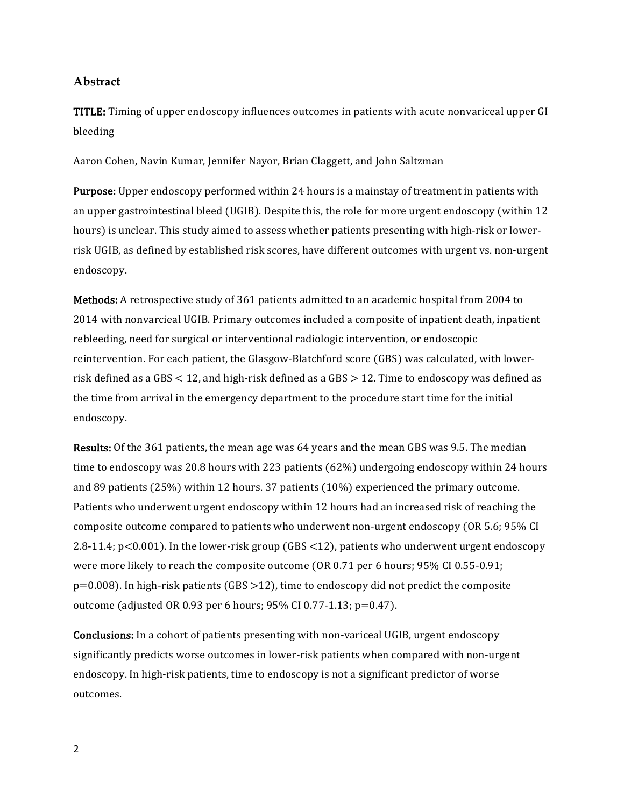## **Abstract**

TITLE: Timing of upper endoscopy influences outcomes in patients with acute nonvariceal upper GI bleeding 

Aaron Cohen, Navin Kumar, Jennifer Nayor, Brian Claggett, and John Saltzman

**Purpose:** Upper endoscopy performed within 24 hours is a mainstay of treatment in patients with an upper gastrointestinal bleed (UGIB). Despite this, the role for more urgent endoscopy (within  $12$ ) hours) is unclear. This study aimed to assess whether patients presenting with high-risk or lowerrisk UGIB, as defined by established risk scores, have different outcomes with urgent vs. non-urgent endoscopy. 

Methods: A retrospective study of 361 patients admitted to an academic hospital from 2004 to 2014 with nonvarcieal UGIB. Primary outcomes included a composite of inpatient death, inpatient rebleeding, need for surgical or interventional radiologic intervention, or endoscopic reintervention. For each patient, the Glasgow-Blatchford score (GBS) was calculated, with lowerrisk defined as a GBS  $\lt$  12, and high-risk defined as a GBS  $>$  12. Time to endoscopy was defined as the time from arrival in the emergency department to the procedure start time for the initial endoscopy. 

Results: Of the 361 patients, the mean age was 64 years and the mean GBS was 9.5. The median time to endoscopy was 20.8 hours with 223 patients  $(62%)$  undergoing endoscopy within 24 hours and 89 patients  $(25%)$  within 12 hours. 37 patients  $(10%)$  experienced the primary outcome. Patients who underwent urgent endoscopy within 12 hours had an increased risk of reaching the composite outcome compared to patients who underwent non-urgent endoscopy (OR 5.6; 95% CI 2.8-11.4;  $p < 0.001$ ). In the lower-risk group (GBS  $\langle 12 \rangle$ , patients who underwent urgent endoscopy were more likely to reach the composite outcome (OR 0.71 per 6 hours; 95% CI 0.55-0.91;  $p=0.008$ ). In high-risk patients (GBS > 12), time to endoscopy did not predict the composite outcome (adjusted OR 0.93 per 6 hours;  $95\%$  CI 0.77-1.13;  $p=0.47$ ).

**Conclusions:** In a cohort of patients presenting with non-variceal UGIB, urgent endoscopy significantly predicts worse outcomes in lower-risk patients when compared with non-urgent endoscopy. In high-risk patients, time to endoscopy is not a significant predictor of worse outcomes.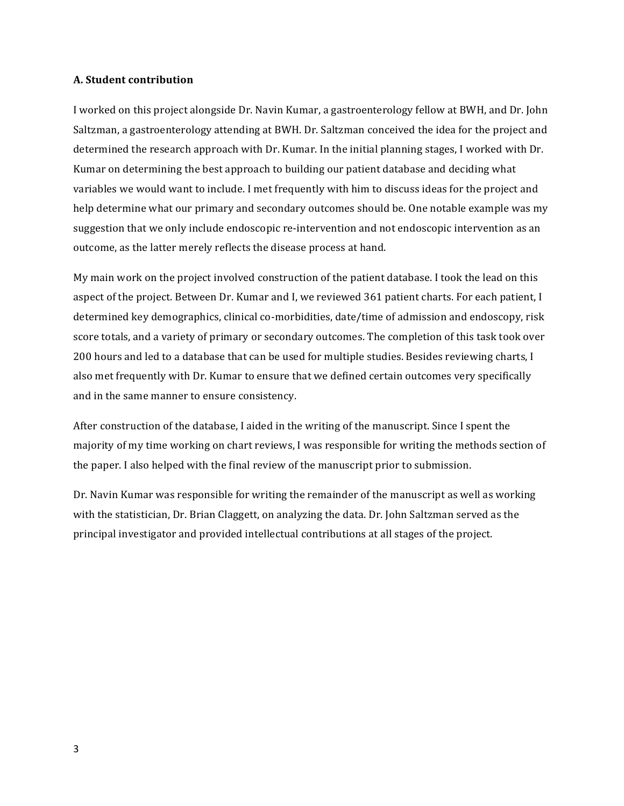#### **A. Student contribution**

I worked on this project alongside Dr. Navin Kumar, a gastroenterology fellow at BWH, and Dr. John Saltzman, a gastroenterology attending at BWH. Dr. Saltzman conceived the idea for the project and determined the research approach with Dr. Kumar. In the initial planning stages, I worked with Dr. Kumar on determining the best approach to building our patient database and deciding what variables we would want to include. I met frequently with him to discuss ideas for the project and help determine what our primary and secondary outcomes should be. One notable example was my suggestion that we only include endoscopic re-intervention and not endoscopic intervention as an outcome, as the latter merely reflects the disease process at hand.

My main work on the project involved construction of the patient database. I took the lead on this aspect of the project. Between Dr. Kumar and I, we reviewed 361 patient charts. For each patient, I determined key demographics, clinical co-morbidities, date/time of admission and endoscopy, risk score totals, and a variety of primary or secondary outcomes. The completion of this task took over 200 hours and led to a database that can be used for multiple studies. Besides reviewing charts, I also met frequently with Dr. Kumar to ensure that we defined certain outcomes very specifically and in the same manner to ensure consistency.

After construction of the database, I aided in the writing of the manuscript. Since I spent the majority of my time working on chart reviews, I was responsible for writing the methods section of the paper. I also helped with the final review of the manuscript prior to submission.

Dr. Navin Kumar was responsible for writing the remainder of the manuscript as well as working with the statistician, Dr. Brian Claggett, on analyzing the data. Dr. John Saltzman served as the principal investigator and provided intellectual contributions at all stages of the project.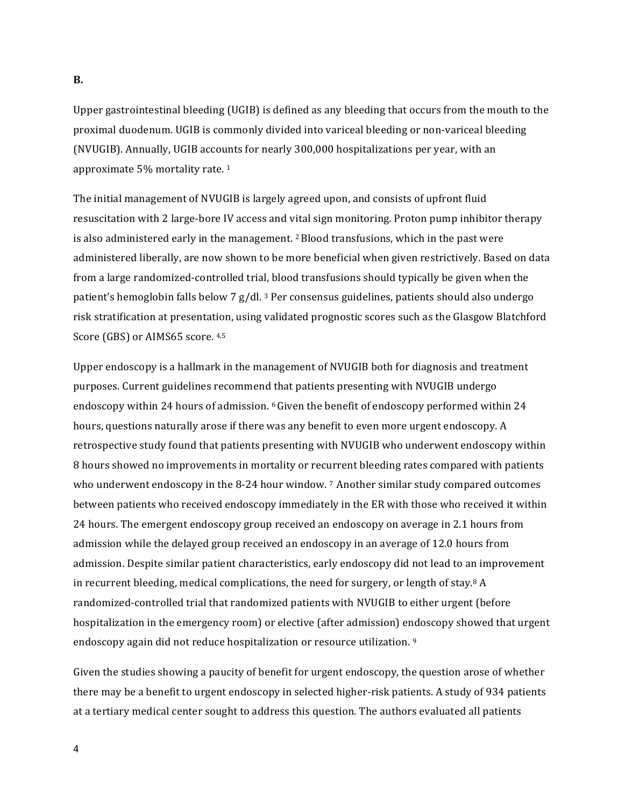#### **B.**

Upper gastrointestinal bleeding  $(UGIB)$  is defined as any bleeding that occurs from the mouth to the proximal duodenum. UGIB is commonly divided into variceal bleeding or non-variceal bleeding (NVUGIB). Annually, UGIB accounts for nearly 300,000 hospitalizations per year, with an approximate  $5%$  mortality rate.  $1$ 

The initial management of NVUGIB is largely agreed upon, and consists of upfront fluid resuscitation with 2 large-bore IV access and vital sign monitoring. Proton pump inhibitor therapy is also administered early in the management.  $\frac{2 \text{ Blood transmissions}}{\text{m} \cdot \text{which}}$  in the past were administered liberally, are now shown to be more beneficial when given restrictively. Based on data from a large randomized-controlled trial, blood transfusions should typically be given when the patient's hemoglobin falls below 7 g/dl.<sup>3</sup> Per consensus guidelines, patients should also undergo risk stratification at presentation, using validated prognostic scores such as the Glasgow Blatchford Score (GBS) or AIMS65 score. 4,5

Upper endoscopy is a hallmark in the management of NVUGIB both for diagnosis and treatment purposes. Current guidelines recommend that patients presenting with NVUGIB undergo endoscopy within 24 hours of admission.  $6$  Given the benefit of endoscopy performed within 24 hours, questions naturally arose if there was any benefit to even more urgent endoscopy. A retrospective study found that patients presenting with NVUGIB who underwent endoscopy within 8 hours showed no improvements in mortality or recurrent bleeding rates compared with patients who underwent endoscopy in the 8-24 hour window. 7 Another similar study compared outcomes between patients who received endoscopy immediately in the ER with those who received it within 24 hours. The emergent endoscopy group received an endoscopy on average in 2.1 hours from admission while the delayed group received an endoscopy in an average of 12.0 hours from admission. Despite similar patient characteristics, early endoscopy did not lead to an improvement in recurrent bleeding, medical complications, the need for surgery, or length of stay.<sup>8</sup> A randomized-controlled trial that randomized patients with NVUGIB to either urgent (before hospitalization in the emergency room) or elective (after admission) endoscopy showed that urgent endoscopy again did not reduce hospitalization or resource utilization. <sup>9</sup>

Given the studies showing a paucity of benefit for urgent endoscopy, the question arose of whether there may be a benefit to urgent endoscopy in selected higher-risk patients. A study of 934 patients at a tertiary medical center sought to address this question. The authors evaluated all patients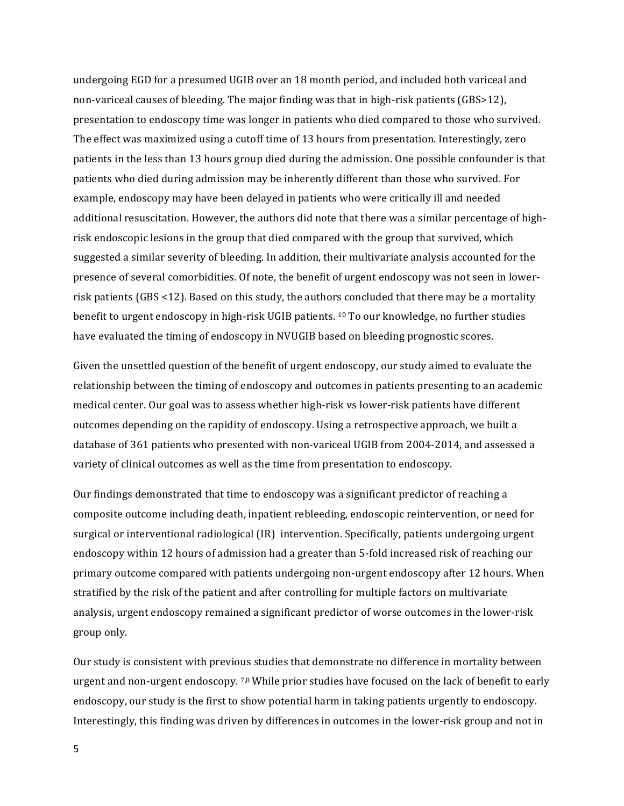undergoing EGD for a presumed UGIB over an 18 month period, and included both variceal and non-variceal causes of bleeding. The major finding was that in high-risk patients (GBS>12), presentation to endoscopy time was longer in patients who died compared to those who survived. The effect was maximized using a cutoff time of 13 hours from presentation. Interestingly, zero patients in the less than 13 hours group died during the admission. One possible confounder is that patients who died during admission may be inherently different than those who survived. For example, endoscopy may have been delayed in patients who were critically ill and needed additional resuscitation. However, the authors did note that there was a similar percentage of highrisk endoscopic lesions in the group that died compared with the group that survived, which suggested a similar severity of bleeding. In addition, their multivariate analysis accounted for the presence of several comorbidities. Of note, the benefit of urgent endoscopy was not seen in lowerrisk patients (GBS <12). Based on this study, the authors concluded that there may be a mortality benefit to urgent endoscopy in high-risk UGIB patients.  $10$  To our knowledge, no further studies have evaluated the timing of endoscopy in NVUGIB based on bleeding prognostic scores.

Given the unsettled question of the benefit of urgent endoscopy, our study aimed to evaluate the relationship between the timing of endoscopy and outcomes in patients presenting to an academic medical center. Our goal was to assess whether high-risk vs lower-risk patients have different outcomes depending on the rapidity of endoscopy. Using a retrospective approach, we built a database of 361 patients who presented with non-variceal UGIB from 2004-2014, and assessed a variety of clinical outcomes as well as the time from presentation to endoscopy.

Our findings demonstrated that time to endoscopy was a significant predictor of reaching a composite outcome including death, inpatient rebleeding, endoscopic reintervention, or need for surgical or interventional radiological (IR) intervention. Specifically, patients undergoing urgent endoscopy within 12 hours of admission had a greater than 5-fold increased risk of reaching our primary outcome compared with patients undergoing non-urgent endoscopy after 12 hours. When stratified by the risk of the patient and after controlling for multiple factors on multivariate analysis, urgent endoscopy remained a significant predictor of worse outcomes in the lower-risk group only.

Our study is consistent with previous studies that demonstrate no difference in mortality between urgent and non-urgent endoscopy.  $7,8$  While prior studies have focused on the lack of benefit to early endoscopy, our study is the first to show potential harm in taking patients urgently to endoscopy. Interestingly, this finding was driven by differences in outcomes in the lower-risk group and not in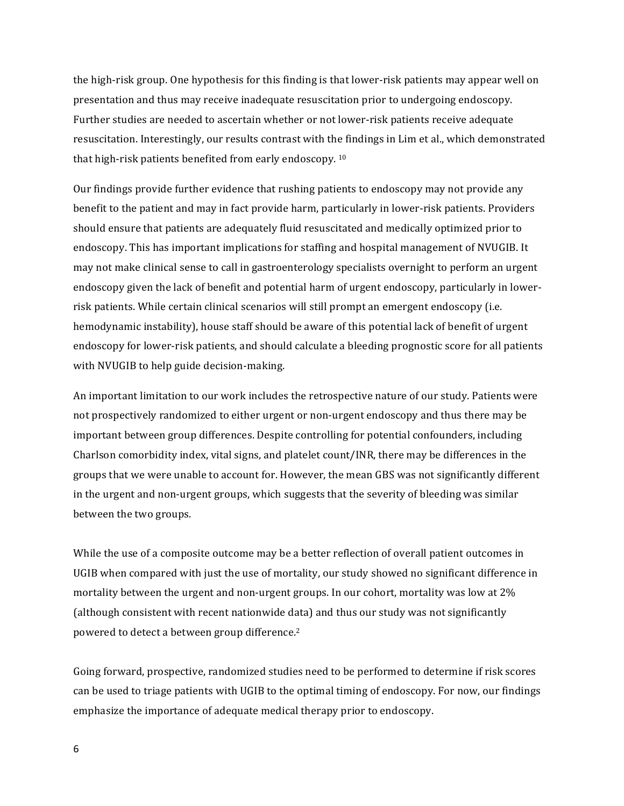the high-risk group. One hypothesis for this finding is that lower-risk patients may appear well on presentation and thus may receive inadequate resuscitation prior to undergoing endoscopy. Further studies are needed to ascertain whether or not lower-risk patients receive adequate resuscitation. Interestingly, our results contrast with the findings in Lim et al., which demonstrated that high-risk patients benefited from early endoscopy.  $10$ 

Our findings provide further evidence that rushing patients to endoscopy may not provide any benefit to the patient and may in fact provide harm, particularly in lower-risk patients. Providers should ensure that patients are adequately fluid resuscitated and medically optimized prior to endoscopy. This has important implications for staffing and hospital management of NVUGIB. It may not make clinical sense to call in gastroenterology specialists overnight to perform an urgent endoscopy given the lack of benefit and potential harm of urgent endoscopy, particularly in lowerrisk patients. While certain clinical scenarios will still prompt an emergent endoscopy (i.e. hemodynamic instability), house staff should be aware of this potential lack of benefit of urgent endoscopy for lower-risk patients, and should calculate a bleeding prognostic score for all patients with NVUGIB to help guide decision-making.

An important limitation to our work includes the retrospective nature of our study. Patients were not prospectively randomized to either urgent or non-urgent endoscopy and thus there may be important between group differences. Despite controlling for potential confounders, including Charlson comorbidity index, vital signs, and platelet count/INR, there may be differences in the groups that we were unable to account for. However, the mean GBS was not significantly different in the urgent and non-urgent groups, which suggests that the severity of bleeding was similar between the two groups.

While the use of a composite outcome may be a better reflection of overall patient outcomes in UGIB when compared with just the use of mortality, our study showed no significant difference in mortality between the urgent and non-urgent groups. In our cohort, mortality was low at 2% (although consistent with recent nationwide data) and thus our study was not significantly powered to detect a between group difference.<sup>2</sup>

Going forward, prospective, randomized studies need to be performed to determine if risk scores can be used to triage patients with UGIB to the optimal timing of endoscopy. For now, our findings emphasize the importance of adequate medical therapy prior to endoscopy.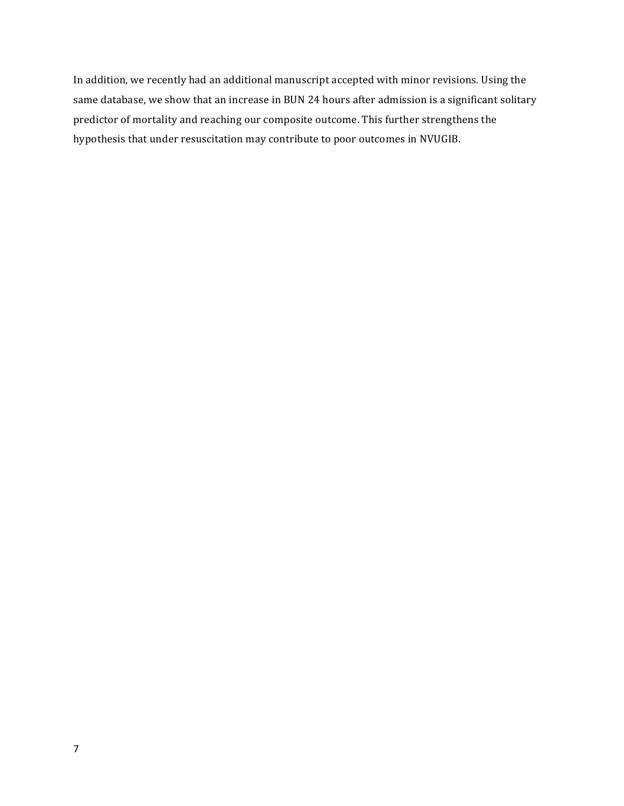In addition, we recently had an additional manuscript accepted with minor revisions. Using the same database, we show that an increase in BUN 24 hours after admission is a significant solitary predictor of mortality and reaching our composite outcome. This further strengthens the hypothesis that under resuscitation may contribute to poor outcomes in NVUGIB.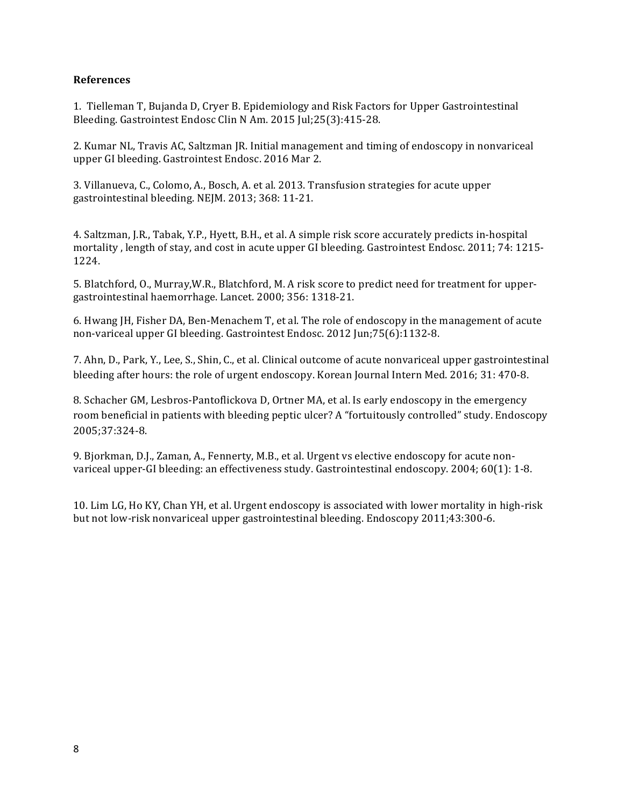## **References**

1. Tielleman T, Bujanda D, Cryer B. Epidemiology and Risk Factors for Upper Gastrointestinal Bleeding. Gastrointest Endosc Clin N Am. 2015 Jul;25(3):415-28.

2. Kumar NL, Travis AC, Saltzman JR. Initial management and timing of endoscopy in nonvariceal upper GI bleeding. Gastrointest Endosc. 2016 Mar 2.

3. Villanueva, C., Colomo, A., Bosch, A. et al. 2013. Transfusion strategies for acute upper gastrointestinal bleeding. NEJM. 2013; 368: 11-21.

4. Saltzman, J.R., Tabak, Y.P., Hyett, B.H., et al. A simple risk score accurately predicts in-hospital mortality, length of stay, and cost in acute upper GI bleeding. Gastrointest Endosc. 2011; 74: 1215-1224. 

5. Blatchford, O., Murray, W.R., Blatchford, M. A risk score to predict need for treatment for uppergastrointestinal haemorrhage. Lancet. 2000; 356: 1318-21.

6. Hwang JH, Fisher DA, Ben-Menachem T, et al. The role of endoscopy in the management of acute non-variceal upper GI bleeding. Gastrointest Endosc. 2012 Jun;75(6):1132-8.

7. Ahn, D., Park, Y., Lee, S., Shin, C., et al. Clinical outcome of acute nonvariceal upper gastrointestinal bleeding after hours: the role of urgent endoscopy. Korean Journal Intern Med. 2016; 31: 470-8.

8. Schacher GM, Lesbros-Pantoflickova D, Ortner MA, et al. Is early endoscopy in the emergency room beneficial in patients with bleeding peptic ulcer? A "fortuitously controlled" study. Endoscopy 2005;37:324-8.

9. Bjorkman, D.J., Zaman, A., Fennerty, M.B., et al. Urgent vs elective endoscopy for acute nonvariceal upper-GI bleeding: an effectiveness study. Gastrointestinal endoscopy. 2004; 60(1): 1-8.

10. Lim LG, Ho KY, Chan YH, et al. Urgent endoscopy is associated with lower mortality in high-risk but not low-risk nonvariceal upper gastrointestinal bleeding. Endoscopy 2011;43:300-6.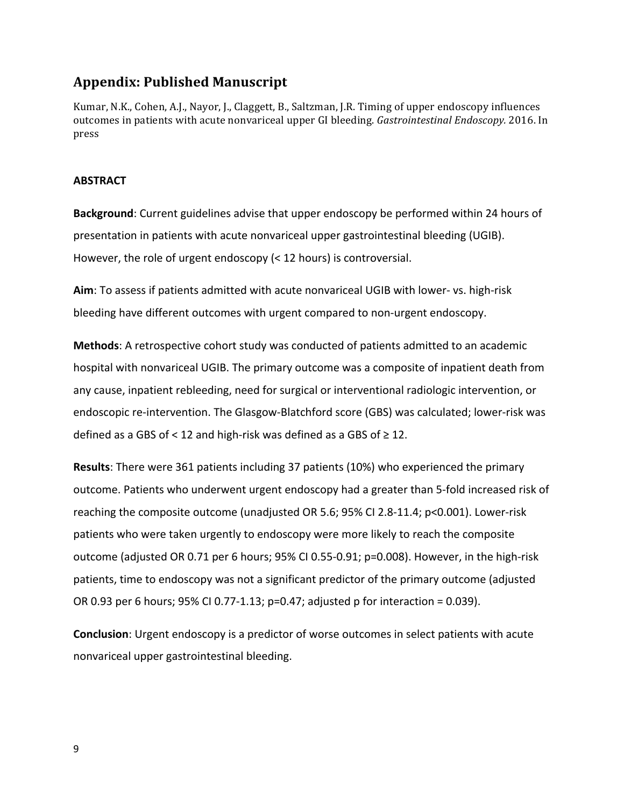# **Appendix: Published Manuscript**

Kumar, N.K., Cohen, A.J., Nayor, J., Claggett, B., Saltzman, J.R. Timing of upper endoscopy influences outcomes in patients with acute nonvariceal upper GI bleeding. *Gastrointestinal Endoscopy.* 2016. In press

### **ABSTRACT**

**Background**: Current guidelines advise that upper endoscopy be performed within 24 hours of presentation in patients with acute nonvariceal upper gastrointestinal bleeding (UGIB). However, the role of urgent endoscopy  $($  < 12 hours) is controversial.

Aim: To assess if patients admitted with acute nonvariceal UGIB with lower- vs. high-risk bleeding have different outcomes with urgent compared to non-urgent endoscopy.

**Methods**: A retrospective cohort study was conducted of patients admitted to an academic hospital with nonvariceal UGIB. The primary outcome was a composite of inpatient death from any cause, inpatient rebleeding, need for surgical or interventional radiologic intervention, or endoscopic re-intervention. The Glasgow-Blatchford score (GBS) was calculated; lower-risk was defined as a GBS of  $\leq$  12 and high-risk was defined as a GBS of  $\geq$  12.

**Results**: There were 361 patients including 37 patients (10%) who experienced the primary outcome. Patients who underwent urgent endoscopy had a greater than 5-fold increased risk of reaching the composite outcome (unadjusted OR 5.6;  $95\%$  CI 2.8-11.4;  $p<0.001$ ). Lower-risk patients who were taken urgently to endoscopy were more likely to reach the composite outcome (adjusted OR 0.71 per 6 hours; 95% CI 0.55-0.91; p=0.008). However, in the high-risk patients, time to endoscopy was not a significant predictor of the primary outcome (adjusted OR 0.93 per 6 hours;  $95\%$  CI 0.77-1.13;  $p=0.47$ ; adjusted p for interaction = 0.039).

**Conclusion**: Urgent endoscopy is a predictor of worse outcomes in select patients with acute nonvariceal upper gastrointestinal bleeding.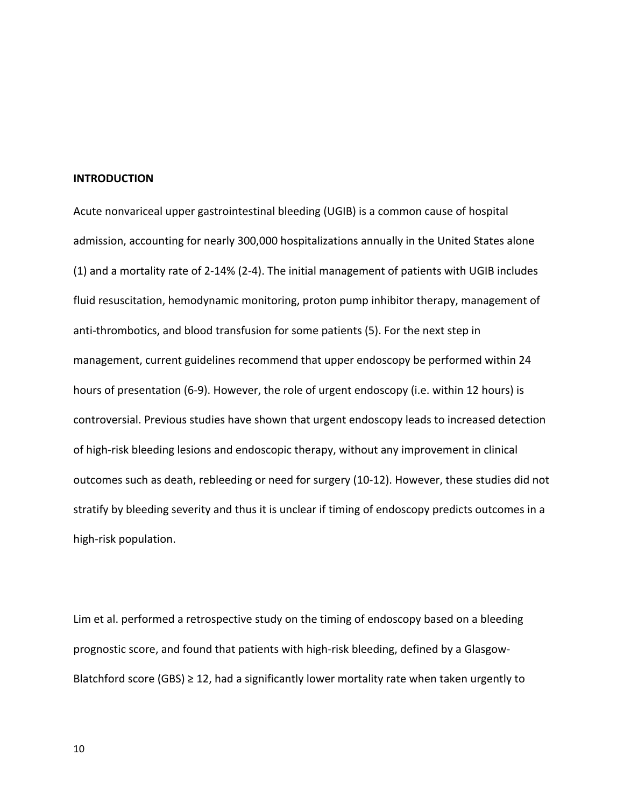#### **INTRODUCTION**

Acute nonvariceal upper gastrointestinal bleeding (UGIB) is a common cause of hospital admission, accounting for nearly 300,000 hospitalizations annually in the United States alone  $(1)$  and a mortality rate of 2-14%  $(2-4)$ . The initial management of patients with UGIB includes fluid resuscitation, hemodynamic monitoring, proton pump inhibitor therapy, management of anti-thrombotics, and blood transfusion for some patients (5). For the next step in management, current guidelines recommend that upper endoscopy be performed within 24 hours of presentation (6-9). However, the role of urgent endoscopy (i.e. within 12 hours) is controversial. Previous studies have shown that urgent endoscopy leads to increased detection of high-risk bleeding lesions and endoscopic therapy, without any improvement in clinical outcomes such as death, rebleeding or need for surgery (10-12). However, these studies did not stratify by bleeding severity and thus it is unclear if timing of endoscopy predicts outcomes in a high-risk population.

Lim et al. performed a retrospective study on the timing of endoscopy based on a bleeding prognostic score, and found that patients with high-risk bleeding, defined by a Glasgow-Blatchford score  $(GBS) \geq 12$ , had a significantly lower mortality rate when taken urgently to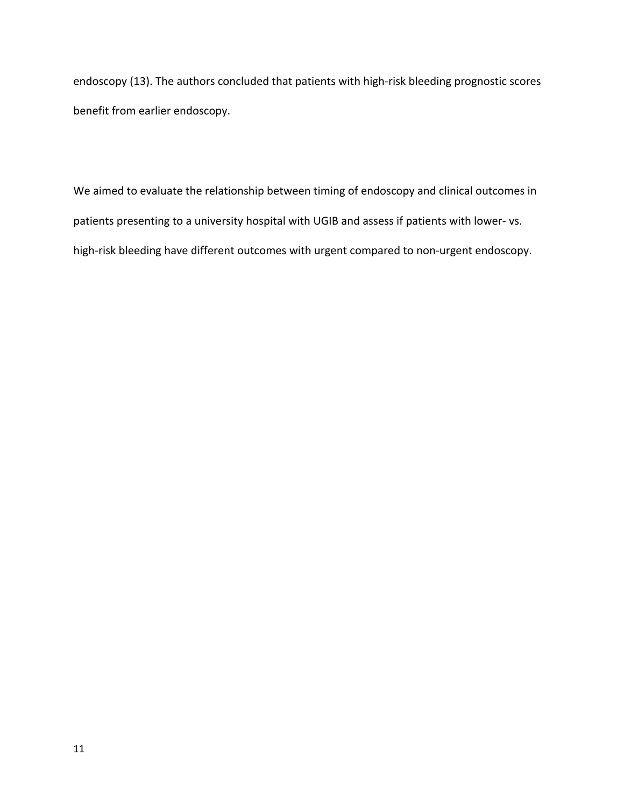endoscopy (13). The authors concluded that patients with high-risk bleeding prognostic scores benefit from earlier endoscopy.

We aimed to evaluate the relationship between timing of endoscopy and clinical outcomes in patients presenting to a university hospital with UGIB and assess if patients with lower- vs. high-risk bleeding have different outcomes with urgent compared to non-urgent endoscopy.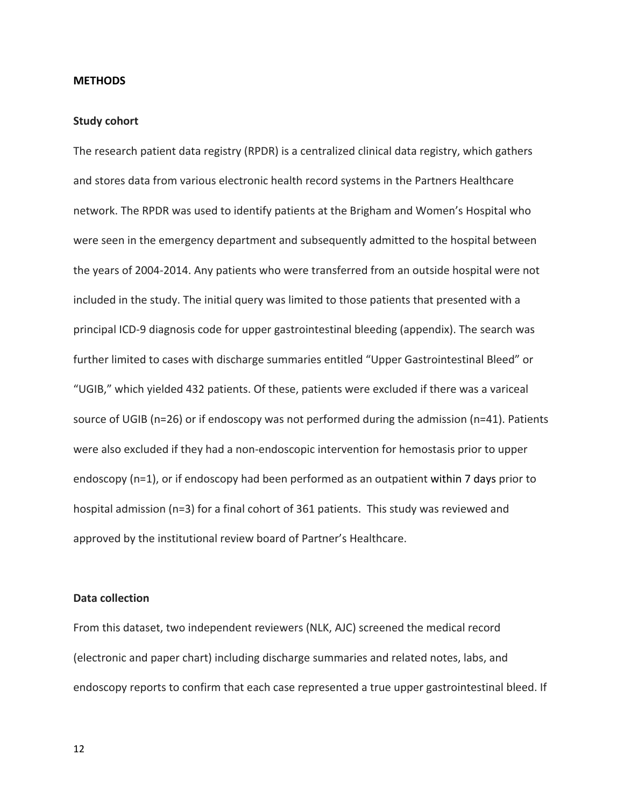#### **METHODS**

#### **Study cohort**

The research patient data registry (RPDR) is a centralized clinical data registry, which gathers and stores data from various electronic health record systems in the Partners Healthcare network. The RPDR was used to identify patients at the Brigham and Women's Hospital who were seen in the emergency department and subsequently admitted to the hospital between the years of 2004-2014. Any patients who were transferred from an outside hospital were not included in the study. The initial query was limited to those patients that presented with a principal ICD-9 diagnosis code for upper gastrointestinal bleeding (appendix). The search was further limited to cases with discharge summaries entitled "Upper Gastrointestinal Bleed" or "UGIB," which yielded 432 patients. Of these, patients were excluded if there was a variceal source of UGIB ( $n=26$ ) or if endoscopy was not performed during the admission ( $n=41$ ). Patients were also excluded if they had a non-endoscopic intervention for hemostasis prior to upper endoscopy  $(n=1)$ , or if endoscopy had been performed as an outpatient within 7 days prior to hospital admission ( $n=3$ ) for a final cohort of 361 patients. This study was reviewed and approved by the institutional review board of Partner's Healthcare.

### **Data collection**

From this dataset, two independent reviewers (NLK, AJC) screened the medical record (electronic and paper chart) including discharge summaries and related notes, labs, and endoscopy reports to confirm that each case represented a true upper gastrointestinal bleed. If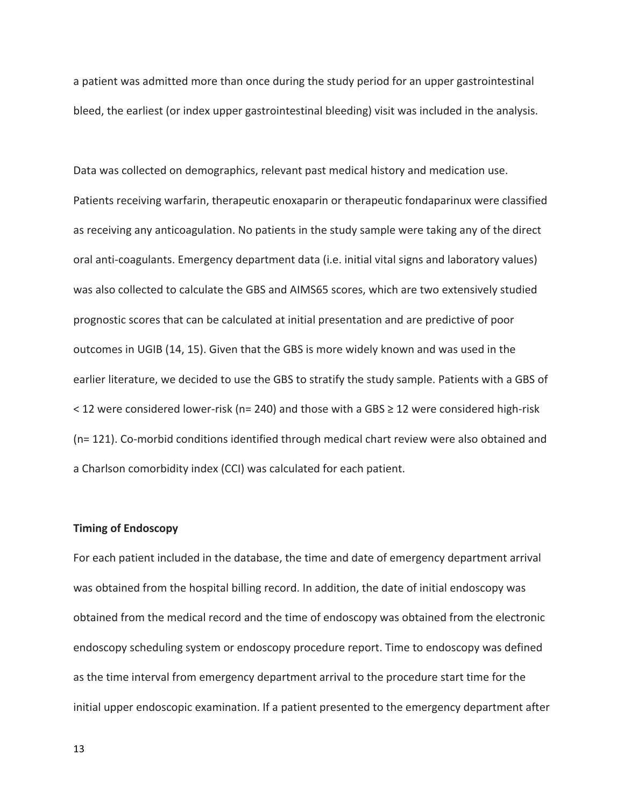a patient was admitted more than once during the study period for an upper gastrointestinal bleed, the earliest (or index upper gastrointestinal bleeding) visit was included in the analysis.

Data was collected on demographics, relevant past medical history and medication use. Patients receiving warfarin, therapeutic enoxaparin or therapeutic fondaparinux were classified as receiving any anticoagulation. No patients in the study sample were taking any of the direct oral anti-coagulants. Emergency department data (i.e. initial vital signs and laboratory values) was also collected to calculate the GBS and AIMS65 scores, which are two extensively studied prognostic scores that can be calculated at initial presentation and are predictive of poor outcomes in UGIB (14, 15). Given that the GBS is more widely known and was used in the earlier literature, we decided to use the GBS to stratify the study sample. Patients with a GBS of  $<$  12 were considered lower-risk (n= 240) and those with a GBS  $\geq$  12 were considered high-risk  $(n= 121)$ . Co-morbid conditions identified through medical chart review were also obtained and a Charlson comorbidity index (CCI) was calculated for each patient.

## **Timing of Endoscopy**

For each patient included in the database, the time and date of emergency department arrival was obtained from the hospital billing record. In addition, the date of initial endoscopy was obtained from the medical record and the time of endoscopy was obtained from the electronic endoscopy scheduling system or endoscopy procedure report. Time to endoscopy was defined as the time interval from emergency department arrival to the procedure start time for the initial upper endoscopic examination. If a patient presented to the emergency department after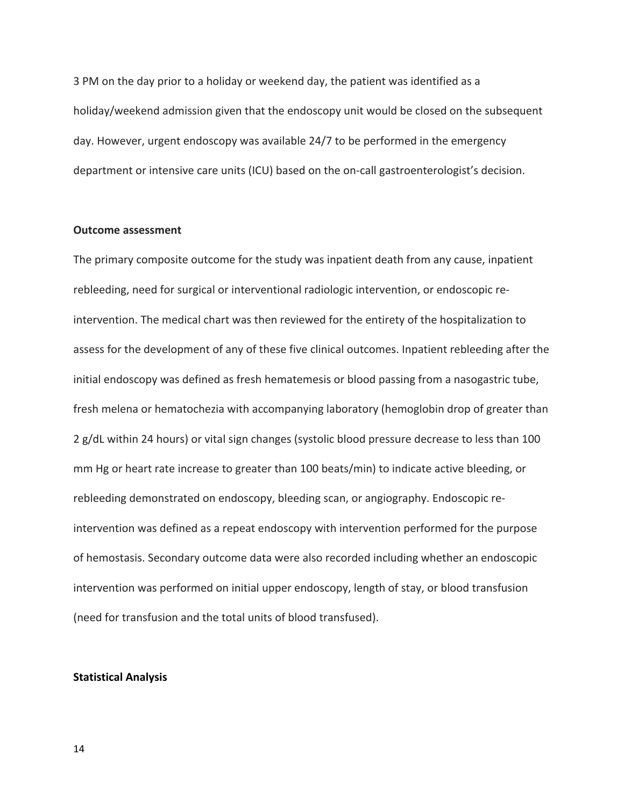3 PM on the day prior to a holiday or weekend day, the patient was identified as a holiday/weekend admission given that the endoscopy unit would be closed on the subsequent day. However, urgent endoscopy was available 24/7 to be performed in the emergency department or intensive care units (ICU) based on the on-call gastroenterologist's decision.

#### **Outcome assessment**

The primary composite outcome for the study was inpatient death from any cause, inpatient rebleeding, need for surgical or interventional radiologic intervention, or endoscopic reintervention. The medical chart was then reviewed for the entirety of the hospitalization to assess for the development of any of these five clinical outcomes. Inpatient rebleeding after the initial endoscopy was defined as fresh hematemesis or blood passing from a nasogastric tube, fresh melena or hematochezia with accompanying laboratory (hemoglobin drop of greater than 2 g/dL within 24 hours) or vital sign changes (systolic blood pressure decrease to less than 100 mm Hg or heart rate increase to greater than 100 beats/min) to indicate active bleeding, or rebleeding demonstrated on endoscopy, bleeding scan, or angiography. Endoscopic reintervention was defined as a repeat endoscopy with intervention performed for the purpose of hemostasis. Secondary outcome data were also recorded including whether an endoscopic intervention was performed on initial upper endoscopy, length of stay, or blood transfusion (need for transfusion and the total units of blood transfused).

#### **Statistical Analysis**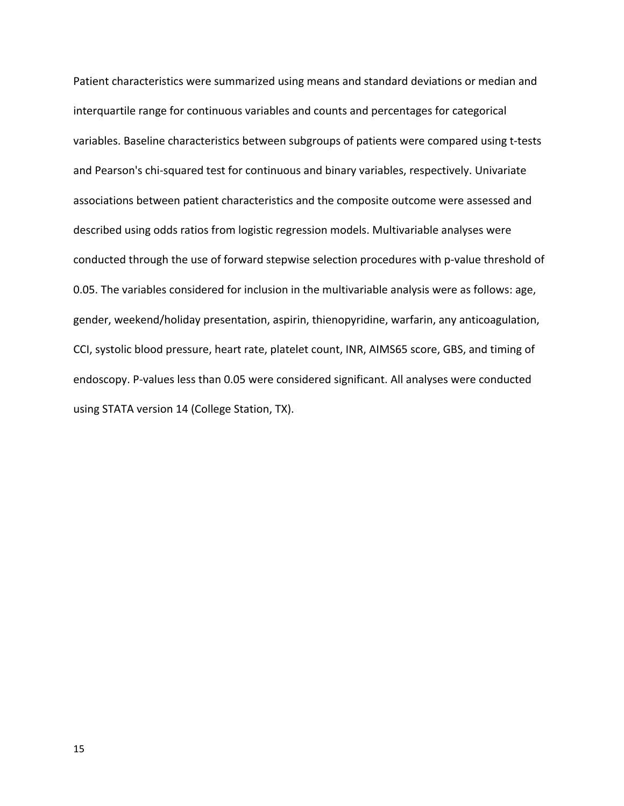Patient characteristics were summarized using means and standard deviations or median and interquartile range for continuous variables and counts and percentages for categorical variables. Baseline characteristics between subgroups of patients were compared using t-tests and Pearson's chi-squared test for continuous and binary variables, respectively. Univariate associations between patient characteristics and the composite outcome were assessed and described using odds ratios from logistic regression models. Multivariable analyses were conducted through the use of forward stepwise selection procedures with p-value threshold of 0.05. The variables considered for inclusion in the multivariable analysis were as follows: age, gender, weekend/holiday presentation, aspirin, thienopyridine, warfarin, any anticoagulation, CCI, systolic blood pressure, heart rate, platelet count, INR, AIMS65 score, GBS, and timing of endoscopy. P-values less than 0.05 were considered significant. All analyses were conducted using STATA version 14 (College Station, TX).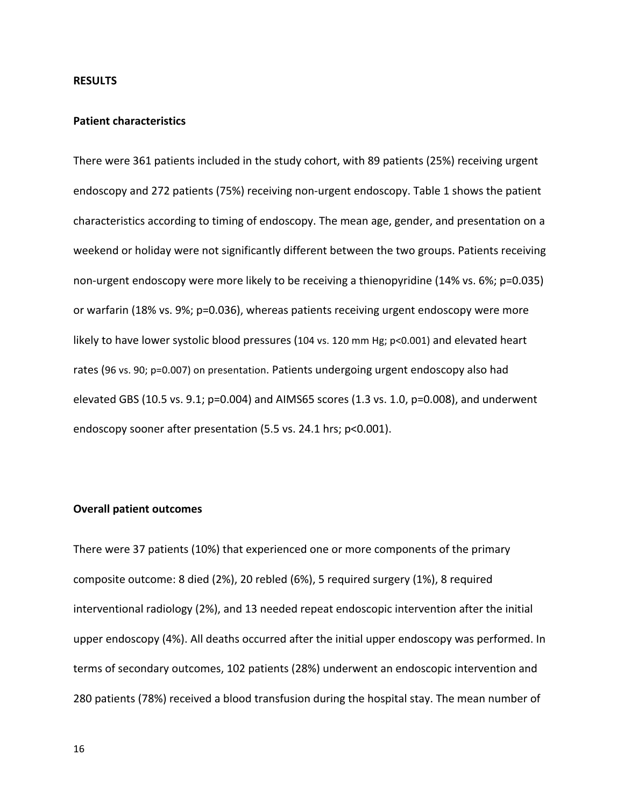#### **RESULTS**

#### **Patient characteristics**

There were 361 patients included in the study cohort, with 89 patients (25%) receiving urgent endoscopy and 272 patients (75%) receiving non-urgent endoscopy. Table 1 shows the patient characteristics according to timing of endoscopy. The mean age, gender, and presentation on a weekend or holiday were not significantly different between the two groups. Patients receiving non-urgent endoscopy were more likely to be receiving a thienopyridine (14% vs. 6%; p=0.035) or warfarin (18% vs. 9%; p=0.036), whereas patients receiving urgent endoscopy were more likely to have lower systolic blood pressures (104 vs. 120 mm Hg; p<0.001) and elevated heart rates (96 vs. 90; p=0.007) on presentation. Patients undergoing urgent endoscopy also had elevated GBS (10.5 vs. 9.1;  $p=0.004$ ) and AIMS65 scores (1.3 vs. 1.0,  $p=0.008$ ), and underwent endoscopy sooner after presentation (5.5 vs. 24.1 hrs; p<0.001).

#### **Overall patient outcomes**

There were 37 patients (10%) that experienced one or more components of the primary composite outcome: 8 died (2%), 20 rebled (6%), 5 required surgery (1%), 8 required interventional radiology (2%), and 13 needed repeat endoscopic intervention after the initial upper endoscopy  $(4%)$ . All deaths occurred after the initial upper endoscopy was performed. In terms of secondary outcomes, 102 patients (28%) underwent an endoscopic intervention and 280 patients (78%) received a blood transfusion during the hospital stay. The mean number of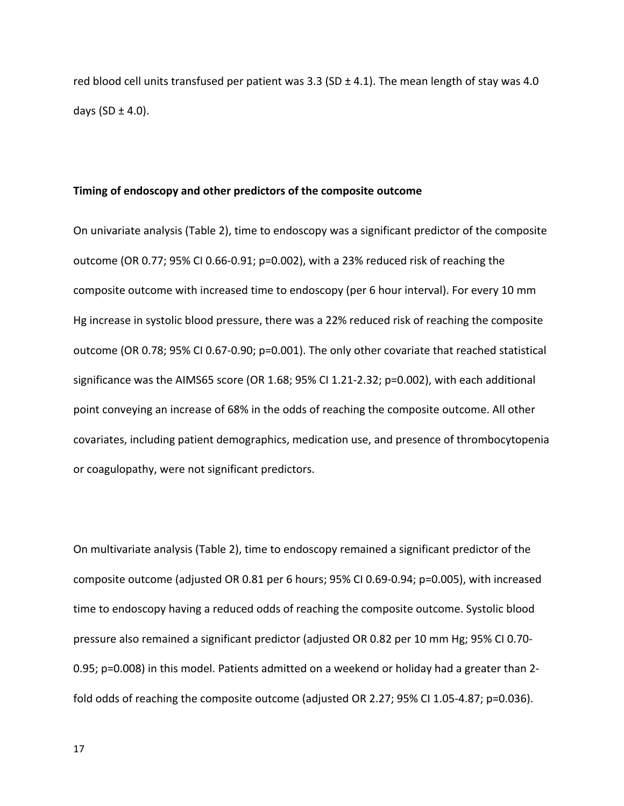red blood cell units transfused per patient was  $3.3$  (SD  $\pm$  4.1). The mean length of stay was 4.0 days  $(SD \pm 4.0)$ .

#### Timing of endoscopy and other predictors of the composite outcome

On univariate analysis (Table 2), time to endoscopy was a significant predictor of the composite outcome (OR 0.77; 95% CI 0.66-0.91;  $p=0.002$ ), with a 23% reduced risk of reaching the composite outcome with increased time to endoscopy (per 6 hour interval). For every 10 mm Hg increase in systolic blood pressure, there was a 22% reduced risk of reaching the composite outcome (OR 0.78; 95% CI 0.67-0.90; p=0.001). The only other covariate that reached statistical significance was the AIMS65 score (OR 1.68; 95% CI 1.21-2.32; p=0.002), with each additional point conveying an increase of 68% in the odds of reaching the composite outcome. All other covariates, including patient demographics, medication use, and presence of thrombocytopenia or coagulopathy, were not significant predictors.

On multivariate analysis (Table 2), time to endoscopy remained a significant predictor of the composite outcome (adjusted OR 0.81 per 6 hours;  $95\%$  CI 0.69-0.94; p=0.005), with increased time to endoscopy having a reduced odds of reaching the composite outcome. Systolic blood pressure also remained a significant predictor (adjusted OR 0.82 per 10 mm Hg; 95% CI 0.70-0.95; p=0.008) in this model. Patients admitted on a weekend or holiday had a greater than 2fold odds of reaching the composite outcome (adjusted OR 2.27; 95% CI 1.05-4.87;  $p=0.036$ ).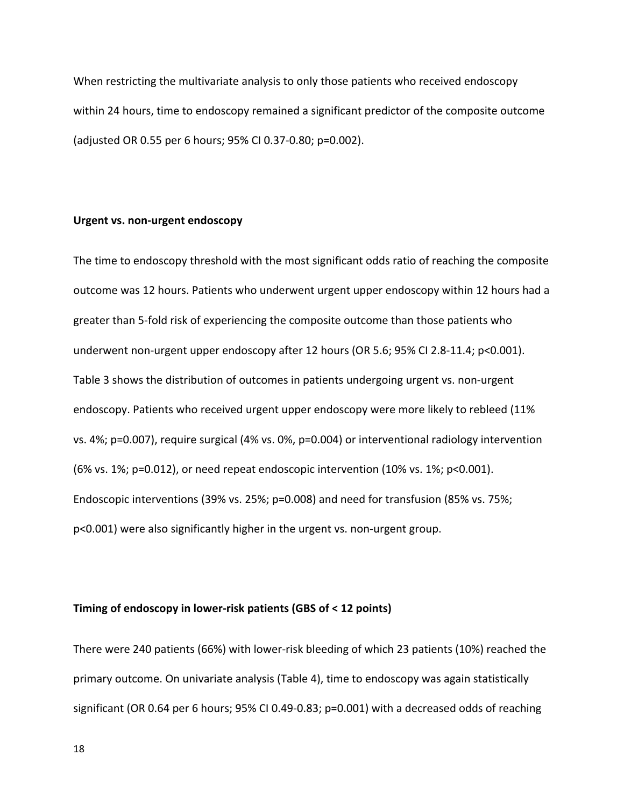When restricting the multivariate analysis to only those patients who received endoscopy within 24 hours, time to endoscopy remained a significant predictor of the composite outcome (adjusted OR 0.55 per 6 hours; 95% CI 0.37-0.80; p=0.002).

## **Urgent vs. non-urgent endoscopy**

The time to endoscopy threshold with the most significant odds ratio of reaching the composite outcome was 12 hours. Patients who underwent urgent upper endoscopy within 12 hours had a greater than 5-fold risk of experiencing the composite outcome than those patients who underwent non-urgent upper endoscopy after 12 hours (OR 5.6; 95% CI 2.8-11.4; p<0.001). Table 3 shows the distribution of outcomes in patients undergoing urgent vs. non-urgent endoscopy. Patients who received urgent upper endoscopy were more likely to rebleed (11% vs. 4%; p=0.007), require surgical (4% vs. 0%, p=0.004) or interventional radiology intervention (6% vs. 1%; p=0.012), or need repeat endoscopic intervention (10% vs. 1%; p<0.001). Endoscopic interventions  $(39\% \text{ vs. } 25\%; p=0.008)$  and need for transfusion  $(85\% \text{ vs. } 75\%; p=0.008)$  $p$ <0.001) were also significantly higher in the urgent vs. non-urgent group.

### **Timing of endoscopy in lower-risk patients (GBS of < 12 points)**

There were 240 patients (66%) with lower-risk bleeding of which 23 patients (10%) reached the primary outcome. On univariate analysis (Table 4), time to endoscopy was again statistically significant (OR 0.64 per 6 hours; 95% CI 0.49-0.83; p=0.001) with a decreased odds of reaching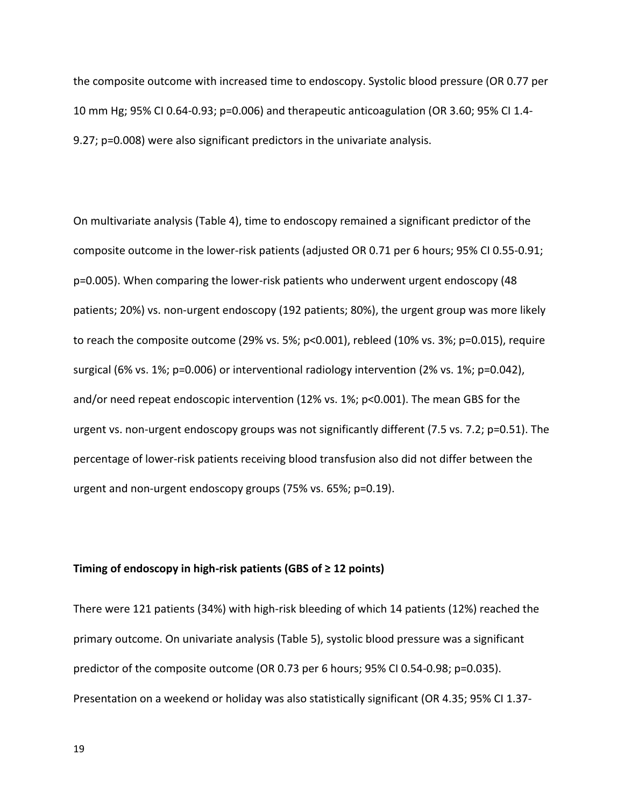the composite outcome with increased time to endoscopy. Systolic blood pressure (OR 0.77 per 10 mm Hg; 95% CI 0.64-0.93; p=0.006) and therapeutic anticoagulation (OR 3.60; 95% CI 1.4-9.27; p=0.008) were also significant predictors in the univariate analysis.

On multivariate analysis (Table 4), time to endoscopy remained a significant predictor of the composite outcome in the lower-risk patients (adjusted OR 0.71 per 6 hours; 95% CI 0.55-0.91; p=0.005). When comparing the lower-risk patients who underwent urgent endoscopy (48 patients; 20%) vs. non-urgent endoscopy (192 patients; 80%), the urgent group was more likely to reach the composite outcome  $(29\% \text{ vs. } 5\%; \text{ p<0.001})$ , rebleed  $(10\% \text{ vs. } 3\%; \text{ p=0.015})$ , require surgical  $(6\%$  vs.  $1\%$ ;  $p=0.006$ ) or interventional radiology intervention  $(2\%$  vs.  $1\%$ ;  $p=0.042$ ), and/or need repeat endoscopic intervention  $(12\% \text{ vs. } 1\%; p<0.001)$ . The mean GBS for the urgent vs. non-urgent endoscopy groups was not significantly different  $(7.5 \text{ vs. } 7.2; \text{ p=0.51}).$  The percentage of lower-risk patients receiving blood transfusion also did not differ between the urgent and non-urgent endoscopy groups (75% vs. 65%; p=0.19).

#### Timing of endoscopy in high-risk patients (GBS of  $\geq$  12 points)

There were 121 patients (34%) with high-risk bleeding of which 14 patients (12%) reached the primary outcome. On univariate analysis (Table 5), systolic blood pressure was a significant predictor of the composite outcome (OR 0.73 per 6 hours; 95% CI 0.54-0.98; p=0.035). Presentation on a weekend or holiday was also statistically significant (OR 4.35; 95% CI 1.37-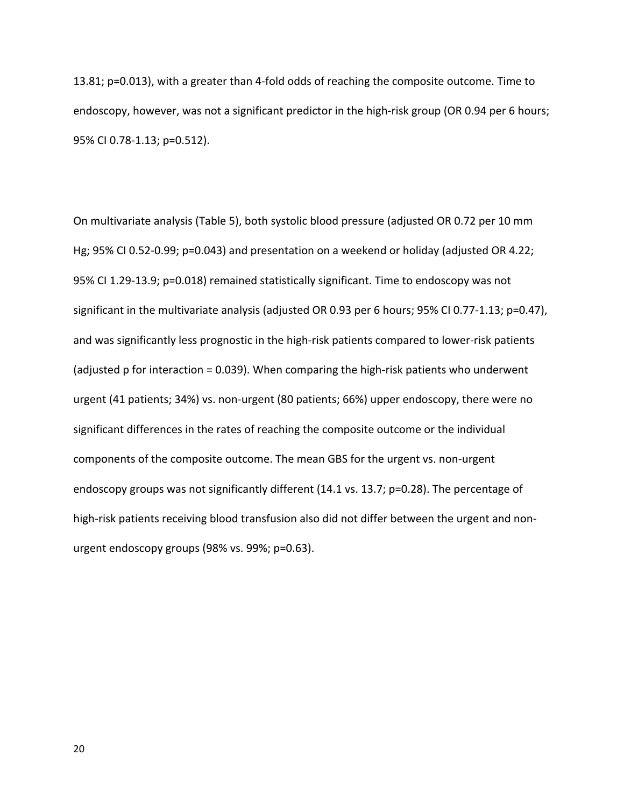13.81; p=0.013), with a greater than 4-fold odds of reaching the composite outcome. Time to endoscopy, however, was not a significant predictor in the high-risk group (OR 0.94 per 6 hours; 95% CI 0.78-1.13; p=0.512).

On multivariate analysis (Table 5), both systolic blood pressure (adjusted OR 0.72 per 10 mm Hg; 95% CI 0.52-0.99; p=0.043) and presentation on a weekend or holiday (adjusted OR 4.22; 95% CI 1.29-13.9; p=0.018) remained statistically significant. Time to endoscopy was not significant in the multivariate analysis (adjusted OR 0.93 per 6 hours; 95% CI 0.77-1.13; p=0.47), and was significantly less prognostic in the high-risk patients compared to lower-risk patients (adjusted p for interaction = 0.039). When comparing the high-risk patients who underwent urgent (41 patients; 34%) vs. non-urgent (80 patients; 66%) upper endoscopy, there were no significant differences in the rates of reaching the composite outcome or the individual components of the composite outcome. The mean GBS for the urgent vs. non-urgent endoscopy groups was not significantly different  $(14.1 \text{ vs. } 13.7; \text{ p=0.28})$ . The percentage of high-risk patients receiving blood transfusion also did not differ between the urgent and nonurgent endoscopy groups (98% vs. 99%; p=0.63).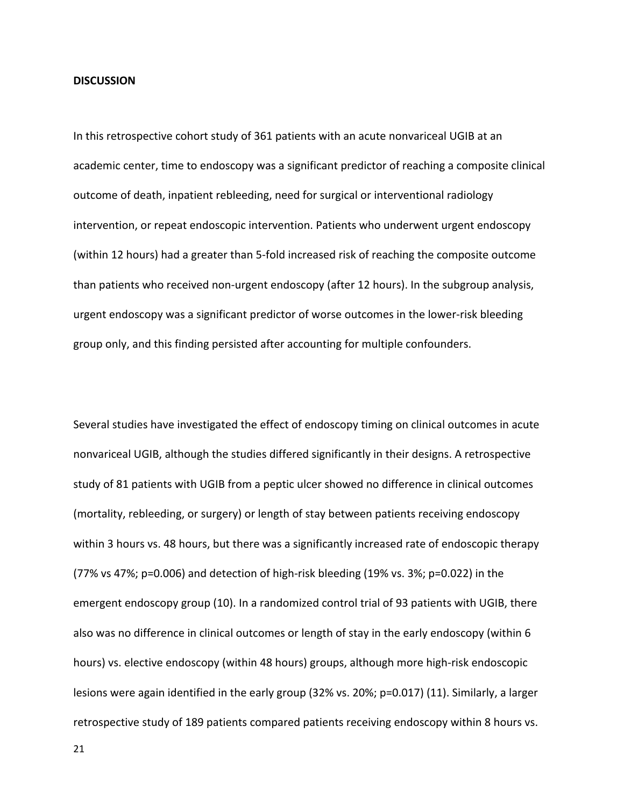#### **DISCUSSION**

In this retrospective cohort study of 361 patients with an acute nonvariceal UGIB at an academic center, time to endoscopy was a significant predictor of reaching a composite clinical outcome of death, inpatient rebleeding, need for surgical or interventional radiology intervention, or repeat endoscopic intervention. Patients who underwent urgent endoscopy (within 12 hours) had a greater than 5-fold increased risk of reaching the composite outcome than patients who received non-urgent endoscopy (after 12 hours). In the subgroup analysis, urgent endoscopy was a significant predictor of worse outcomes in the lower-risk bleeding group only, and this finding persisted after accounting for multiple confounders.

Several studies have investigated the effect of endoscopy timing on clinical outcomes in acute nonvariceal UGIB, although the studies differed significantly in their designs. A retrospective study of 81 patients with UGIB from a peptic ulcer showed no difference in clinical outcomes (mortality, rebleeding, or surgery) or length of stay between patients receiving endoscopy within 3 hours vs. 48 hours, but there was a significantly increased rate of endoscopic therapy (77% vs 47%;  $p=0.006$ ) and detection of high-risk bleeding (19% vs. 3%;  $p=0.022$ ) in the emergent endoscopy group (10). In a randomized control trial of 93 patients with UGIB, there also was no difference in clinical outcomes or length of stay in the early endoscopy (within 6 hours) vs. elective endoscopy (within 48 hours) groups, although more high-risk endoscopic lesions were again identified in the early group (32% vs. 20%;  $p=0.017$ ) (11). Similarly, a larger retrospective study of 189 patients compared patients receiving endoscopy within 8 hours vs.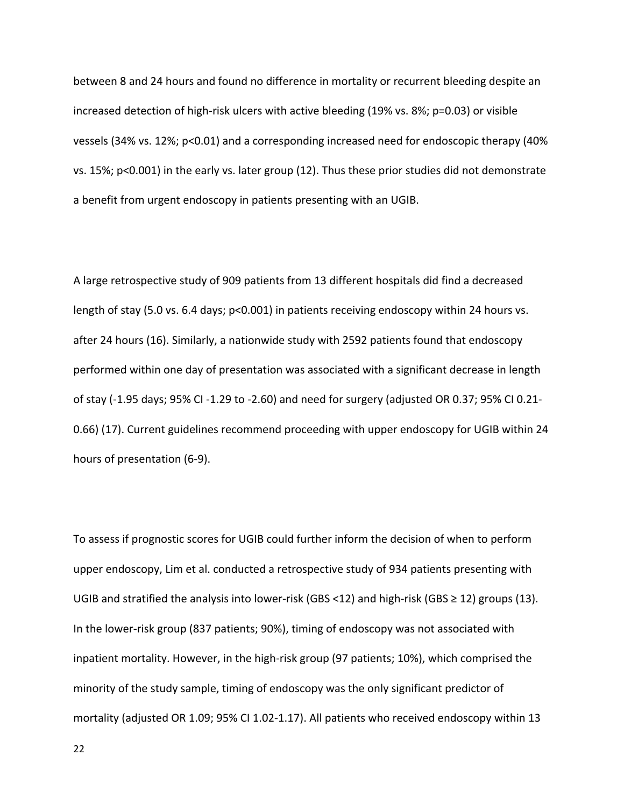between 8 and 24 hours and found no difference in mortality or recurrent bleeding despite an increased detection of high-risk ulcers with active bleeding  $(19\% \text{ vs. } 8\%; p=0.03)$  or visible vessels  $(34\% \text{ vs. } 12\%; \text{ p<0.01})$  and a corresponding increased need for endoscopic therapy  $(40\%$ vs. 15%;  $p<0.001$ ) in the early vs. later group (12). Thus these prior studies did not demonstrate a benefit from urgent endoscopy in patients presenting with an UGIB.

A large retrospective study of 909 patients from 13 different hospitals did find a decreased length of stay (5.0 vs. 6.4 days;  $p$ <0.001) in patients receiving endoscopy within 24 hours vs. after 24 hours (16). Similarly, a nationwide study with 2592 patients found that endoscopy performed within one day of presentation was associated with a significant decrease in length of stay (-1.95 days; 95% CI -1.29 to -2.60) and need for surgery (adjusted OR 0.37; 95% CI 0.21-0.66) (17). Current guidelines recommend proceeding with upper endoscopy for UGIB within 24 hours of presentation (6-9).

To assess if prognostic scores for UGIB could further inform the decision of when to perform upper endoscopy, Lim et al. conducted a retrospective study of 934 patients presenting with UGIB and stratified the analysis into lower-risk (GBS <12) and high-risk (GBS ≥ 12) groups (13). In the lower-risk group (837 patients; 90%), timing of endoscopy was not associated with inpatient mortality. However, in the high-risk group (97 patients; 10%), which comprised the minority of the study sample, timing of endoscopy was the only significant predictor of mortality (adjusted OR 1.09; 95% CI 1.02-1.17). All patients who received endoscopy within 13

22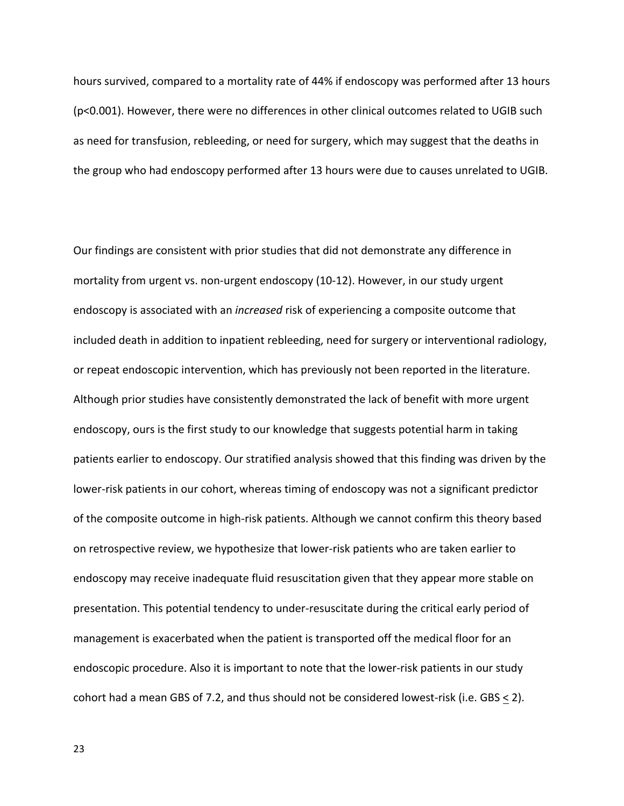hours survived, compared to a mortality rate of 44% if endoscopy was performed after 13 hours (p<0.001). However, there were no differences in other clinical outcomes related to UGIB such as need for transfusion, rebleeding, or need for surgery, which may suggest that the deaths in the group who had endoscopy performed after 13 hours were due to causes unrelated to UGIB.

Our findings are consistent with prior studies that did not demonstrate any difference in mortality from urgent vs. non-urgent endoscopy (10-12). However, in our study urgent endoscopy is associated with an *increased* risk of experiencing a composite outcome that included death in addition to inpatient rebleeding, need for surgery or interventional radiology, or repeat endoscopic intervention, which has previously not been reported in the literature. Although prior studies have consistently demonstrated the lack of benefit with more urgent endoscopy, ours is the first study to our knowledge that suggests potential harm in taking patients earlier to endoscopy. Our stratified analysis showed that this finding was driven by the lower-risk patients in our cohort, whereas timing of endoscopy was not a significant predictor of the composite outcome in high-risk patients. Although we cannot confirm this theory based on retrospective review, we hypothesize that lower-risk patients who are taken earlier to endoscopy may receive inadequate fluid resuscitation given that they appear more stable on presentation. This potential tendency to under-resuscitate during the critical early period of management is exacerbated when the patient is transported off the medical floor for an endoscopic procedure. Also it is important to note that the lower-risk patients in our study cohort had a mean GBS of 7.2, and thus should not be considered lowest-risk (i.e. GBS  $<$  2).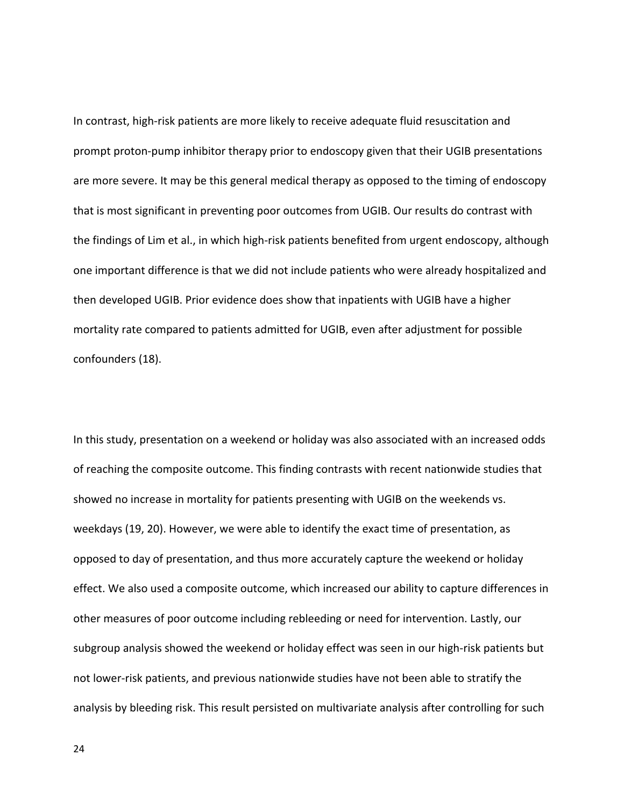In contrast, high-risk patients are more likely to receive adequate fluid resuscitation and prompt proton-pump inhibitor therapy prior to endoscopy given that their UGIB presentations are more severe. It may be this general medical therapy as opposed to the timing of endoscopy that is most significant in preventing poor outcomes from UGIB. Our results do contrast with the findings of Lim et al., in which high-risk patients benefited from urgent endoscopy, although one important difference is that we did not include patients who were already hospitalized and then developed UGIB. Prior evidence does show that inpatients with UGIB have a higher mortality rate compared to patients admitted for UGIB, even after adjustment for possible confounders (18).

In this study, presentation on a weekend or holiday was also associated with an increased odds of reaching the composite outcome. This finding contrasts with recent nationwide studies that showed no increase in mortality for patients presenting with UGIB on the weekends vs. weekdays (19, 20). However, we were able to identify the exact time of presentation, as opposed to day of presentation, and thus more accurately capture the weekend or holiday effect. We also used a composite outcome, which increased our ability to capture differences in other measures of poor outcome including rebleeding or need for intervention. Lastly, our subgroup analysis showed the weekend or holiday effect was seen in our high-risk patients but not lower-risk patients, and previous nationwide studies have not been able to stratify the analysis by bleeding risk. This result persisted on multivariate analysis after controlling for such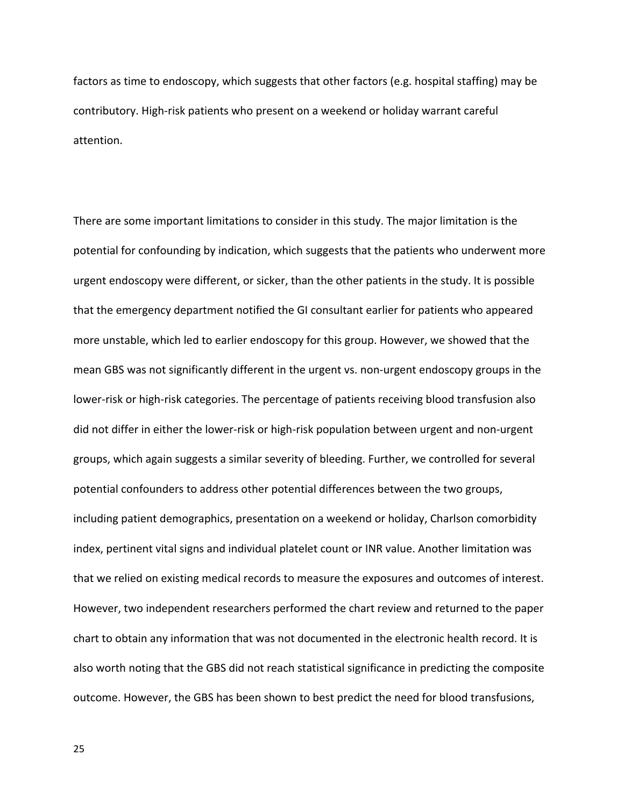factors as time to endoscopy, which suggests that other factors (e.g. hospital staffing) may be contributory. High-risk patients who present on a weekend or holiday warrant careful attention.

There are some important limitations to consider in this study. The major limitation is the potential for confounding by indication, which suggests that the patients who underwent more urgent endoscopy were different, or sicker, than the other patients in the study. It is possible that the emergency department notified the GI consultant earlier for patients who appeared more unstable, which led to earlier endoscopy for this group. However, we showed that the mean GBS was not significantly different in the urgent vs. non-urgent endoscopy groups in the lower-risk or high-risk categories. The percentage of patients receiving blood transfusion also did not differ in either the lower-risk or high-risk population between urgent and non-urgent groups, which again suggests a similar severity of bleeding. Further, we controlled for several potential confounders to address other potential differences between the two groups, including patient demographics, presentation on a weekend or holiday, Charlson comorbidity index, pertinent vital signs and individual platelet count or INR value. Another limitation was that we relied on existing medical records to measure the exposures and outcomes of interest. However, two independent researchers performed the chart review and returned to the paper chart to obtain any information that was not documented in the electronic health record. It is also worth noting that the GBS did not reach statistical significance in predicting the composite outcome. However, the GBS has been shown to best predict the need for blood transfusions,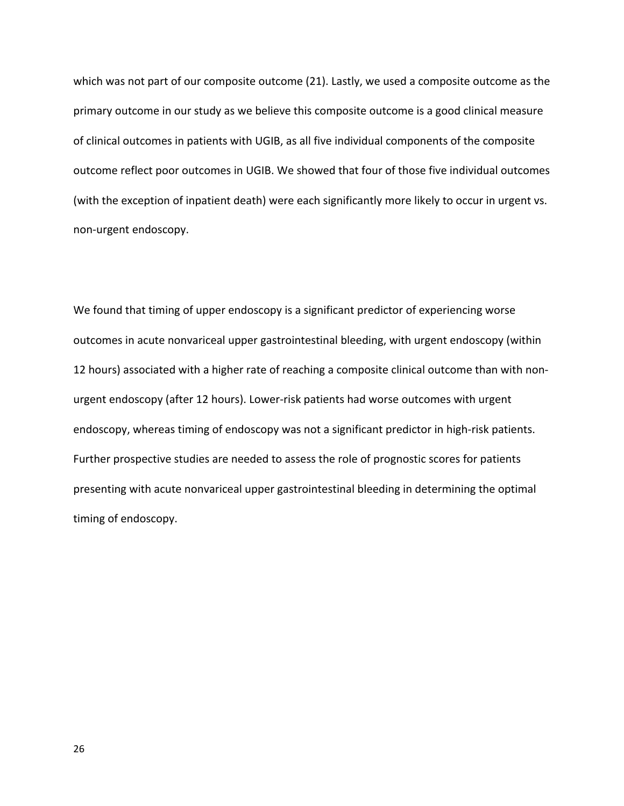which was not part of our composite outcome (21). Lastly, we used a composite outcome as the primary outcome in our study as we believe this composite outcome is a good clinical measure of clinical outcomes in patients with UGIB, as all five individual components of the composite outcome reflect poor outcomes in UGIB. We showed that four of those five individual outcomes (with the exception of inpatient death) were each significantly more likely to occur in urgent vs. non-urgent endoscopy.

We found that timing of upper endoscopy is a significant predictor of experiencing worse outcomes in acute nonvariceal upper gastrointestinal bleeding, with urgent endoscopy (within 12 hours) associated with a higher rate of reaching a composite clinical outcome than with nonurgent endoscopy (after 12 hours). Lower-risk patients had worse outcomes with urgent endoscopy, whereas timing of endoscopy was not a significant predictor in high-risk patients. Further prospective studies are needed to assess the role of prognostic scores for patients presenting with acute nonvariceal upper gastrointestinal bleeding in determining the optimal timing of endoscopy.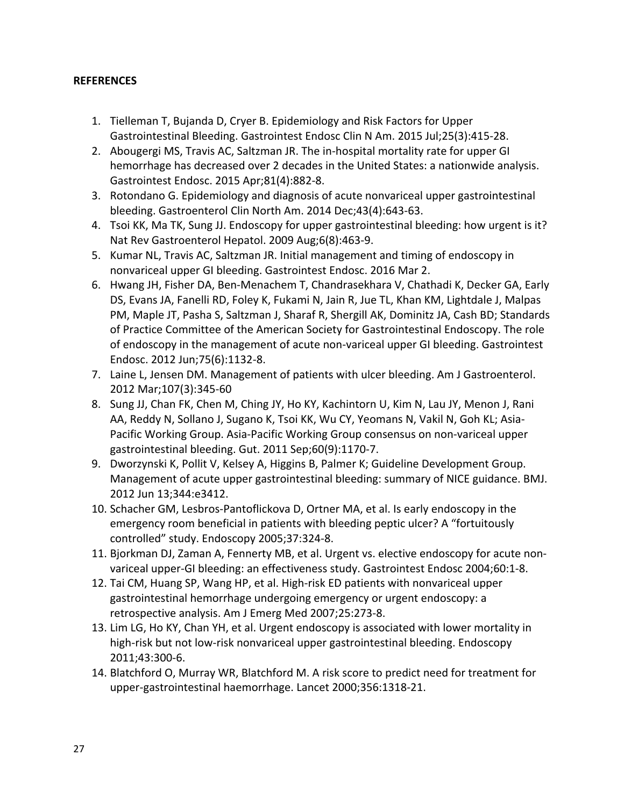# **REFERENCES**

- 1. Tielleman T, Bujanda D, Cryer B. Epidemiology and Risk Factors for Upper Gastrointestinal Bleeding. Gastrointest Endosc Clin N Am. 2015 Jul;25(3):415-28.
- 2. Abougergi MS, Travis AC, Saltzman JR. The in-hospital mortality rate for upper GI hemorrhage has decreased over 2 decades in the United States: a nationwide analysis. Gastrointest Endosc. 2015 Apr;81(4):882-8.
- 3. Rotondano G. Epidemiology and diagnosis of acute nonvariceal upper gastrointestinal bleeding. Gastroenterol Clin North Am. 2014 Dec;43(4):643-63.
- 4. Tsoi KK, Ma TK, Sung JJ. Endoscopy for upper gastrointestinal bleeding: how urgent is it? Nat Rev Gastroenterol Hepatol. 2009 Aug;6(8):463-9.
- 5. Kumar NL, Travis AC, Saltzman JR. Initial management and timing of endoscopy in nonvariceal upper GI bleeding. Gastrointest Endosc. 2016 Mar 2.
- 6. Hwang JH, Fisher DA, Ben-Menachem T, Chandrasekhara V, Chathadi K, Decker GA, Early DS, Evans JA, Fanelli RD, Foley K, Fukami N, Jain R, Jue TL, Khan KM, Lightdale J, Malpas PM, Maple JT, Pasha S, Saltzman J, Sharaf R, Shergill AK, Dominitz JA, Cash BD; Standards of Practice Committee of the American Society for Gastrointestinal Endoscopy. The role of endoscopy in the management of acute non-variceal upper GI bleeding. Gastrointest Endosc. 2012 Jun;75(6):1132-8.
- 7. Laine L, Jensen DM. Management of patients with ulcer bleeding. Am J Gastroenterol. 2012 Mar;107(3):345-60
- 8. Sung JJ, Chan FK, Chen M, Ching JY, Ho KY, Kachintorn U, Kim N, Lau JY, Menon J, Rani AA, Reddy N, Sollano J, Sugano K, Tsoi KK, Wu CY, Yeomans N, Vakil N, Goh KL; Asia-Pacific Working Group. Asia-Pacific Working Group consensus on non-variceal upper gastrointestinal bleeding. Gut. 2011 Sep;60(9):1170-7.
- 9. Dworzynski K, Pollit V, Kelsey A, Higgins B, Palmer K; Guideline Development Group. Management of acute upper gastrointestinal bleeding: summary of NICE guidance. BMJ. 2012 Jun 13;344:e3412.
- 10. Schacher GM, Lesbros-Pantoflickova D, Ortner MA, et al. Is early endoscopy in the emergency room beneficial in patients with bleeding peptic ulcer? A "fortuitously controlled" study. Endoscopy 2005;37:324-8.
- 11. Bjorkman DJ, Zaman A, Fennerty MB, et al. Urgent vs. elective endoscopy for acute nonvariceal upper-GI bleeding: an effectiveness study. Gastrointest Endosc 2004;60:1-8.
- 12. Tai CM, Huang SP, Wang HP, et al. High-risk ED patients with nonvariceal upper gastrointestinal hemorrhage undergoing emergency or urgent endoscopy: a retrospective analysis. Am J Emerg Med 2007;25:273-8.
- 13. Lim LG, Ho KY, Chan YH, et al. Urgent endoscopy is associated with lower mortality in high-risk but not low-risk nonvariceal upper gastrointestinal bleeding. Endoscopy 2011;43:300-6.
- 14. Blatchford O, Murray WR, Blatchford M. A risk score to predict need for treatment for upper-gastrointestinal haemorrhage. Lancet 2000;356:1318-21.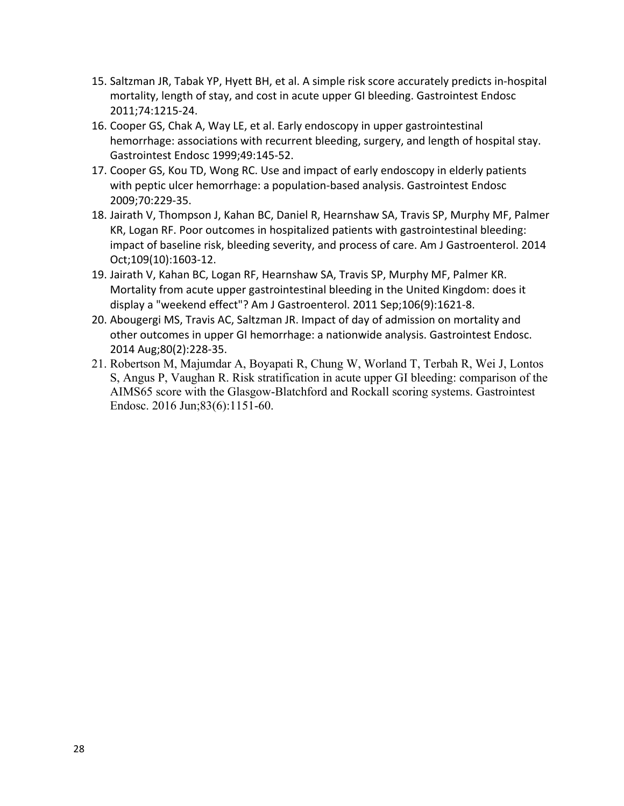- 15. Saltzman JR, Tabak YP, Hyett BH, et al. A simple risk score accurately predicts in-hospital mortality, length of stay, and cost in acute upper GI bleeding. Gastrointest Endosc 2011;74:1215-24.
- 16. Cooper GS, Chak A, Way LE, et al. Early endoscopy in upper gastrointestinal hemorrhage: associations with recurrent bleeding, surgery, and length of hospital stay. Gastrointest Endosc 1999;49:145-52.
- 17. Cooper GS, Kou TD, Wong RC. Use and impact of early endoscopy in elderly patients with peptic ulcer hemorrhage: a population-based analysis. Gastrointest Endosc 2009;70:229-35.
- 18. Jairath V, Thompson J, Kahan BC, Daniel R, Hearnshaw SA, Travis SP, Murphy MF, Palmer KR, Logan RF. Poor outcomes in hospitalized patients with gastrointestinal bleeding: impact of baseline risk, bleeding severity, and process of care. Am J Gastroenterol. 2014 Oct;109(10):1603-12.
- 19. Jairath V, Kahan BC, Logan RF, Hearnshaw SA, Travis SP, Murphy MF, Palmer KR. Mortality from acute upper gastrointestinal bleeding in the United Kingdom: does it display a "weekend effect"? Am J Gastroenterol. 2011 Sep;106(9):1621-8.
- 20. Abougergi MS, Travis AC, Saltzman JR. Impact of day of admission on mortality and other outcomes in upper GI hemorrhage: a nationwide analysis. Gastrointest Endosc. 2014 Aug;80(2):228-35.
- 21. Robertson M, Majumdar A, Boyapati R, Chung W, Worland T, Terbah R, Wei J, Lontos S, Angus P, Vaughan R. Risk stratification in acute upper GI bleeding: comparison of the AIMS65 score with the Glasgow-Blatchford and Rockall scoring systems. Gastrointest Endosc. 2016 Jun;83(6):1151-60.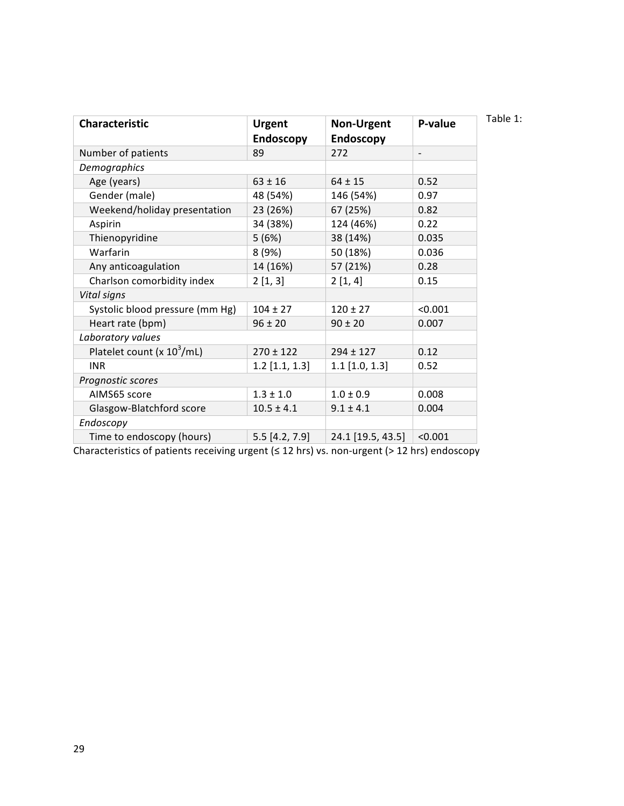| <b>Characteristic</b>                  | <b>Urgent</b>    | <b>Non-Urgent</b> | P-value                  |
|----------------------------------------|------------------|-------------------|--------------------------|
|                                        | <b>Endoscopy</b> | <b>Endoscopy</b>  |                          |
| Number of patients                     | 89               | 272               | $\overline{\phantom{a}}$ |
| Demographics                           |                  |                   |                          |
| Age (years)                            | $63 \pm 16$      | $64 \pm 15$       | 0.52                     |
| Gender (male)                          | 48 (54%)         | 146 (54%)         | 0.97                     |
| Weekend/holiday presentation           | 23 (26%)         | 67 (25%)          | 0.82                     |
| Aspirin                                | 34 (38%)         | 124 (46%)         | 0.22                     |
| Thienopyridine                         | 5(6%)            | 38 (14%)          | 0.035                    |
| Warfarin                               | 8(9%)            | 50 (18%)          | 0.036                    |
| Any anticoagulation                    | 14 (16%)         | 57 (21%)          | 0.28                     |
| Charlson comorbidity index             | 2[1,3]           | 2[1, 4]           | 0.15                     |
| Vital signs                            |                  |                   |                          |
| Systolic blood pressure (mm Hg)        | $104 \pm 27$     | $120 \pm 27$      | < 0.001                  |
| Heart rate (bpm)                       | $96 \pm 20$      | $90 \pm 20$       | 0.007                    |
| Laboratory values                      |                  |                   |                          |
| Platelet count (x 10 <sup>3</sup> /mL) | $270 \pm 122$    | $294 \pm 127$     | 0.12                     |
| <b>INR</b>                             | $1.2$ [1.1, 1.3] | $1.1$ [1.0, 1.3]  | 0.52                     |
| Prognostic scores                      |                  |                   |                          |
| AIMS65 score                           | $1.3 \pm 1.0$    | $1.0 \pm 0.9$     | 0.008                    |
| Glasgow-Blatchford score               | $10.5 \pm 4.1$   | $9.1 \pm 4.1$     | 0.004                    |
| Endoscopy                              |                  |                   |                          |
| Time to endoscopy (hours)              | $5.5$ [4.2, 7.9] | 24.1 [19.5, 43.5] | < 0.001                  |

Characteristics of patients receiving urgent  $(≤ 12$  hrs) vs. non-urgent  $(> 12$  hrs) endoscopy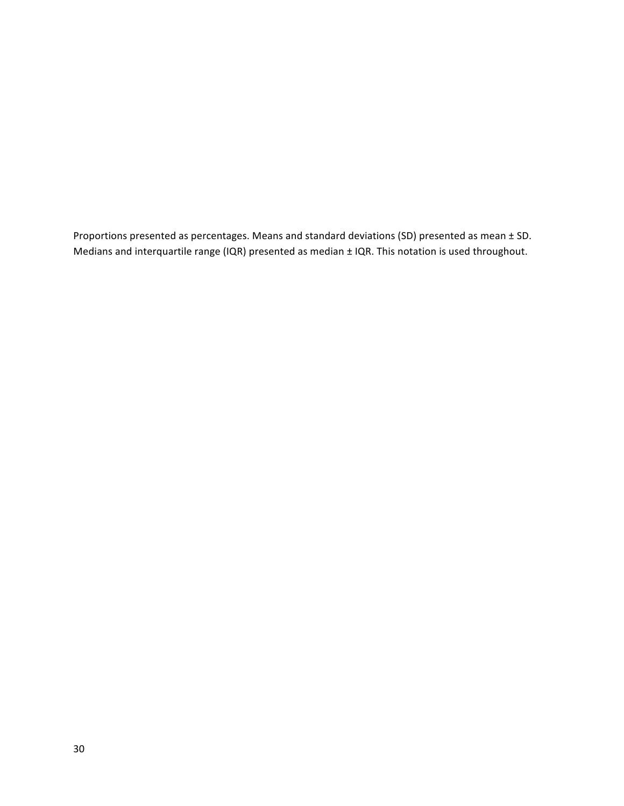Proportions presented as percentages. Means and standard deviations (SD) presented as mean  $\pm$  SD. Medians and interquartile range (IQR) presented as median  $\pm$  IQR. This notation is used throughout.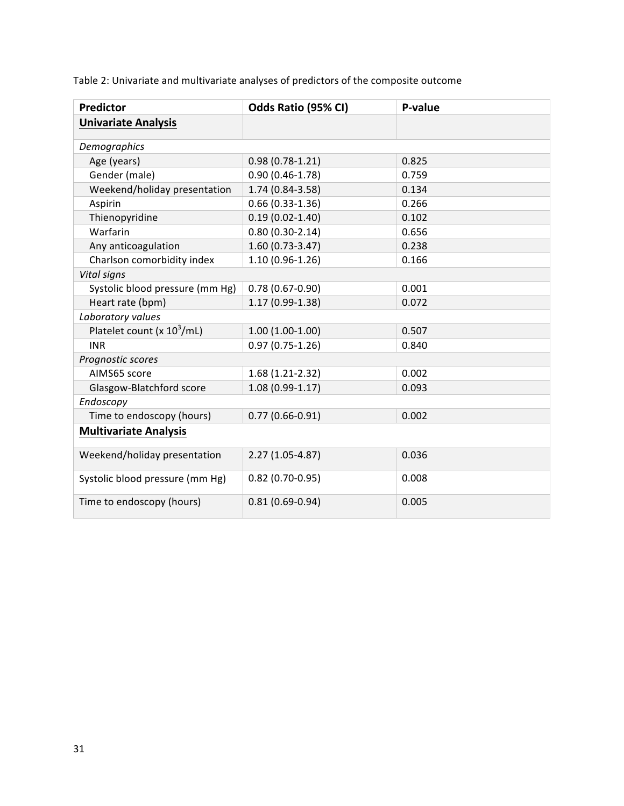| <b>Predictor</b>                       | Odds Ratio (95% CI) | P-value |  |
|----------------------------------------|---------------------|---------|--|
| <b>Univariate Analysis</b>             |                     |         |  |
|                                        |                     |         |  |
| Demographics                           |                     |         |  |
| Age (years)                            | $0.98(0.78-1.21)$   | 0.825   |  |
| Gender (male)                          | $0.90(0.46 - 1.78)$ | 0.759   |  |
| Weekend/holiday presentation           | 1.74 (0.84-3.58)    | 0.134   |  |
| Aspirin                                | $0.66(0.33 - 1.36)$ | 0.266   |  |
| Thienopyridine                         | $0.19(0.02 - 1.40)$ | 0.102   |  |
| Warfarin                               | $0.80(0.30-2.14)$   | 0.656   |  |
| Any anticoagulation                    | $1.60(0.73-3.47)$   | 0.238   |  |
| Charlson comorbidity index             | $1.10(0.96 - 1.26)$ | 0.166   |  |
| Vital signs                            |                     |         |  |
| Systolic blood pressure (mm Hg)        | $0.78(0.67 - 0.90)$ | 0.001   |  |
| Heart rate (bpm)                       | $1.17(0.99-1.38)$   | 0.072   |  |
| Laboratory values                      |                     |         |  |
| Platelet count (x 10 <sup>3</sup> /mL) | $1.00(1.00-1.00)$   | 0.507   |  |
| <b>INR</b>                             | $0.97(0.75-1.26)$   | 0.840   |  |
| Prognostic scores                      |                     |         |  |
| AIMS65 score                           | $1.68(1.21-2.32)$   | 0.002   |  |
| Glasgow-Blatchford score               | $1.08(0.99-1.17)$   | 0.093   |  |
| Endoscopy                              |                     |         |  |
| Time to endoscopy (hours)              | $0.77(0.66 - 0.91)$ | 0.002   |  |
| <b>Multivariate Analysis</b>           |                     |         |  |
| Weekend/holiday presentation           | 2.27 (1.05-4.87)    | 0.036   |  |
| Systolic blood pressure (mm Hg)        | $0.82(0.70-0.95)$   | 0.008   |  |
| Time to endoscopy (hours)              | $0.81(0.69 - 0.94)$ | 0.005   |  |

Table 2: Univariate and multivariate analyses of predictors of the composite outcome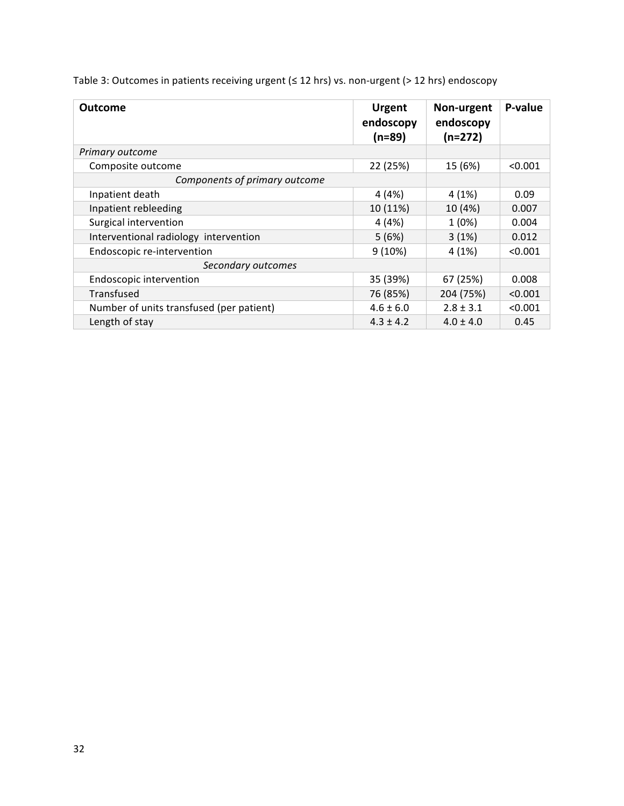|  | Table 3: Outcomes in patients receiving urgent ( $\leq$ 12 hrs) vs. non-urgent (> 12 hrs) endoscopy |
|--|-----------------------------------------------------------------------------------------------------|
|--|-----------------------------------------------------------------------------------------------------|

| <b>Outcome</b>                           | <b>Urgent</b><br>endoscopy<br>$(n=89)$ | Non-urgent<br>endoscopy<br>$(n=272)$ | P-value |
|------------------------------------------|----------------------------------------|--------------------------------------|---------|
| Primary outcome                          |                                        |                                      |         |
| Composite outcome                        | 22 (25%)                               | 15 (6%)                              | < 0.001 |
| Components of primary outcome            |                                        |                                      |         |
| Inpatient death                          | 4 (4%)                                 | 4(1%)                                | 0.09    |
| Inpatient rebleeding                     | 10 (11%)                               | 10 (4%)                              | 0.007   |
| Surgical intervention                    | 4(4%)                                  | 1(0%)                                | 0.004   |
| Interventional radiology intervention    | 5(6%)                                  | 3(1%)                                | 0.012   |
| Endoscopic re-intervention               | 9(10%)                                 | 4(1%)                                | < 0.001 |
| Secondary outcomes                       |                                        |                                      |         |
| <b>Endoscopic intervention</b>           | 35 (39%)                               | 67 (25%)                             | 0.008   |
| Transfused                               | 76 (85%)                               | 204 (75%)                            | < 0.001 |
| Number of units transfused (per patient) | $4.6 \pm 6.0$                          | $2.8 \pm 3.1$                        | < 0.001 |
| Length of stay                           | $4.3 \pm 4.2$                          | $4.0 \pm 4.0$                        | 0.45    |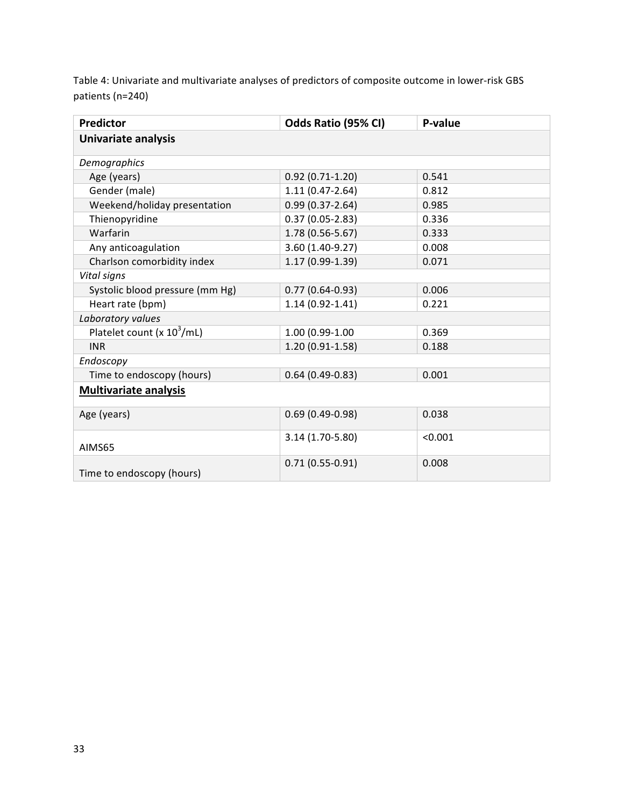Table 4: Univariate and multivariate analyses of predictors of composite outcome in lower-risk GBS patients (n=240)

| <b>Predictor</b>                | Odds Ratio (95% CI) | P-value |  |
|---------------------------------|---------------------|---------|--|
| Univariate analysis             |                     |         |  |
| Demographics                    |                     |         |  |
| Age (years)                     | $0.92(0.71-1.20)$   | 0.541   |  |
| Gender (male)                   | $1.11(0.47-2.64)$   | 0.812   |  |
| Weekend/holiday presentation    | $0.99(0.37 - 2.64)$ | 0.985   |  |
| Thienopyridine                  | $0.37(0.05-2.83)$   | 0.336   |  |
| Warfarin                        | 1.78 (0.56-5.67)    | 0.333   |  |
| Any anticoagulation             | 3.60 (1.40-9.27)    | 0.008   |  |
| Charlson comorbidity index      | 1.17 (0.99-1.39)    | 0.071   |  |
| Vital signs                     |                     |         |  |
| Systolic blood pressure (mm Hg) | $0.77(0.64-0.93)$   | 0.006   |  |
| Heart rate (bpm)                | $1.14(0.92 - 1.41)$ | 0.221   |  |
| Laboratory values               |                     |         |  |
| Platelet count (x $10^3$ /mL)   | 1.00 (0.99-1.00     | 0.369   |  |
| <b>INR</b>                      | $1.20(0.91-1.58)$   | 0.188   |  |
| Endoscopy                       |                     |         |  |
| Time to endoscopy (hours)       | $0.64(0.49-0.83)$   | 0.001   |  |
| <b>Multivariate analysis</b>    |                     |         |  |
| Age (years)                     | $0.69(0.49-0.98)$   | 0.038   |  |
| AIMS65                          | 3.14 (1.70-5.80)    | < 0.001 |  |
| Time to endoscopy (hours)       | $0.71(0.55-0.91)$   | 0.008   |  |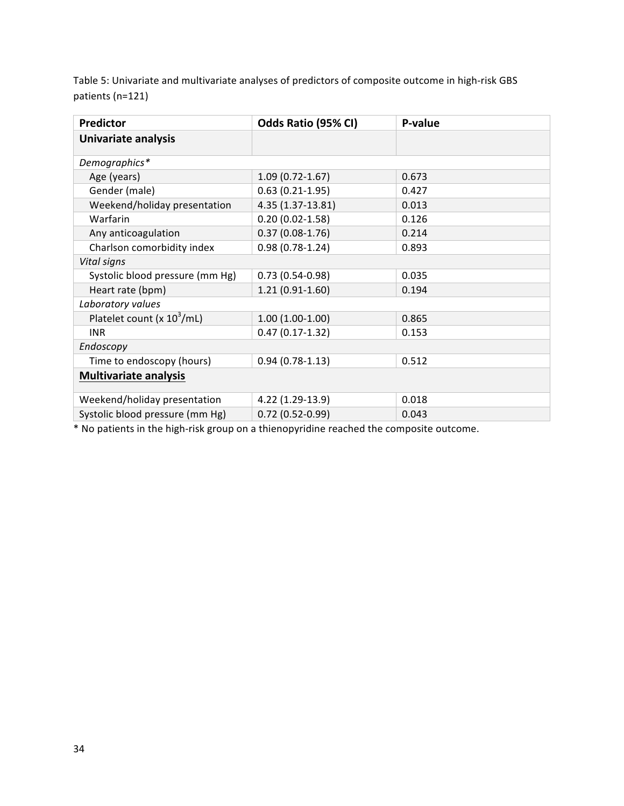Table 5: Univariate and multivariate analyses of predictors of composite outcome in high-risk GBS patients (n=121)

| <b>Predictor</b>                | Odds Ratio (95% CI) | P-value |  |
|---------------------------------|---------------------|---------|--|
| Univariate analysis             |                     |         |  |
| Demographics*                   |                     |         |  |
| Age (years)                     | $1.09(0.72 - 1.67)$ | 0.673   |  |
| Gender (male)                   | $0.63(0.21-1.95)$   | 0.427   |  |
| Weekend/holiday presentation    | 4.35 (1.37-13.81)   | 0.013   |  |
| Warfarin                        | $0.20(0.02 - 1.58)$ | 0.126   |  |
| Any anticoagulation             | $0.37(0.08-1.76)$   | 0.214   |  |
| Charlson comorbidity index      | $0.98(0.78-1.24)$   | 0.893   |  |
| Vital signs                     |                     |         |  |
| Systolic blood pressure (mm Hg) | $0.73(0.54-0.98)$   | 0.035   |  |
| Heart rate (bpm)                | $1.21(0.91-1.60)$   | 0.194   |  |
| Laboratory values               |                     |         |  |
| Platelet count (x $10^3$ /mL)   | $1.00(1.00-1.00)$   | 0.865   |  |
| <b>INR</b>                      | $0.47(0.17-1.32)$   | 0.153   |  |
| Endoscopy                       |                     |         |  |
| Time to endoscopy (hours)       | $0.94(0.78-1.13)$   | 0.512   |  |
| <b>Multivariate analysis</b>    |                     |         |  |
| Weekend/holiday presentation    | 4.22 (1.29-13.9)    | 0.018   |  |
| Systolic blood pressure (mm Hg) | $0.72(0.52 - 0.99)$ | 0.043   |  |

\* No patients in the high-risk group on a thienopyridine reached the composite outcome.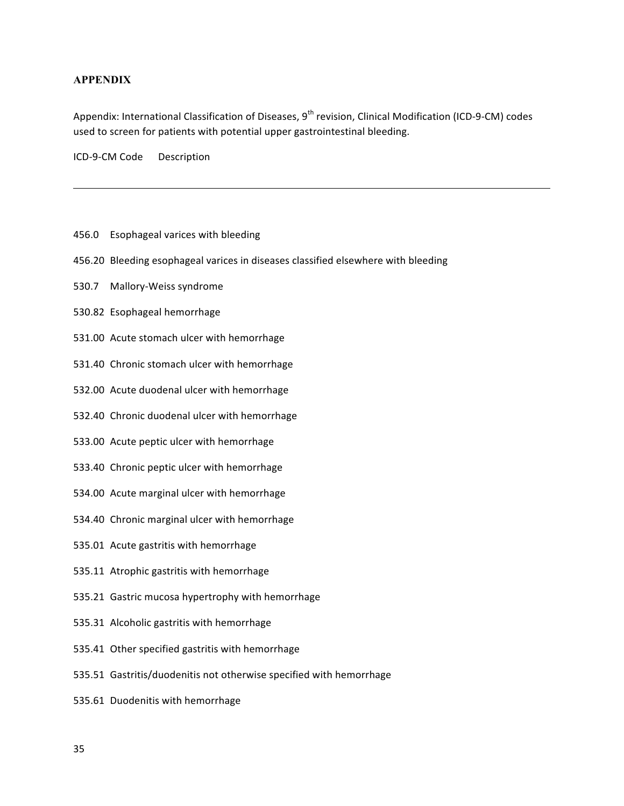### **APPENDIX**

Appendix: International Classification of Diseases, 9<sup>th</sup> revision, Clinical Modification (ICD-9-CM) codes used to screen for patients with potential upper gastrointestinal bleeding.

ICD-9-CM Code Description

- 456.0 Esophageal varices with bleeding
- 456.20 Bleeding esophageal varices in diseases classified elsewhere with bleeding
- 530.7 Mallory-Weiss syndrome
- 530.82 Esophageal hemorrhage
- 531.00 Acute stomach ulcer with hemorrhage
- 531.40 Chronic stomach ulcer with hemorrhage
- 532.00 Acute duodenal ulcer with hemorrhage
- 532.40 Chronic duodenal ulcer with hemorrhage
- 533.00 Acute peptic ulcer with hemorrhage
- 533.40 Chronic peptic ulcer with hemorrhage
- 534.00 Acute marginal ulcer with hemorrhage
- 534.40 Chronic marginal ulcer with hemorrhage
- 535.01 Acute gastritis with hemorrhage
- 535.11 Atrophic gastritis with hemorrhage
- 535.21 Gastric mucosa hypertrophy with hemorrhage
- 535.31 Alcoholic gastritis with hemorrhage
- 535.41 Other specified gastritis with hemorrhage
- 535.51 Gastritis/duodenitis not otherwise specified with hemorrhage
- 535.61 Duodenitis with hemorrhage